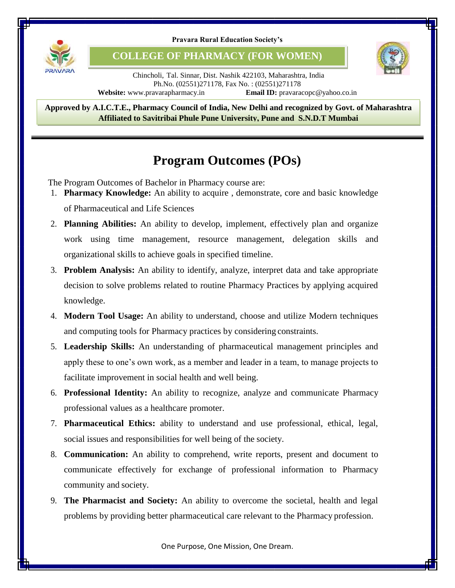

**COLLEGE OF PHARMACY (FOR WOMEN)**



Chincholi, Tal. Sinnar, Dist. Nashik 422103, Maharashtra, India Ph.No. (02551)271178, Fax No. : (02551)271178 **Website:** www.pravarapharmacy.in **Email ID:** pravaracopc@yahoo.co.in

8 **Approved by A.I.C.T.E., Pharmacy Council of India, New Delhi and recognized by Govt. of Maharashtra Affiliated to Savitribai Phule Pune University, Pune and S.N.D.T Mumbai**

## **Program Outcomes (POs)**

The Program Outcomes of Bachelor in Pharmacy course are:

- 1. **Pharmacy Knowledge:** An ability to acquire , demonstrate, core and basic knowledge of Pharmaceutical and Life Sciences
- 2. **Planning Abilities:** An ability to develop, implement, effectively plan and organize work using time management, resource management, delegation skills and organizational skills to achieve goals in specified timeline.
- 3. **Problem Analysis:** An ability to identify, analyze, interpret data and take appropriate decision to solve problems related to routine Pharmacy Practices by applying acquired knowledge.
- 4. **Modern Tool Usage:** An ability to understand, choose and utilize Modern techniques and computing tools for Pharmacy practices by considering constraints.
- 5. **Leadership Skills:** An understanding of pharmaceutical management principles and apply these to one's own work, as a member and leader in a team, to manage projects to facilitate improvement in social health and well being.
- 6. **Professional Identity:** An ability to recognize, analyze and communicate Pharmacy professional values as a healthcare promoter.
- 7. **Pharmaceutical Ethics:** ability to understand and use professional, ethical, legal, social issues and responsibilities for well being of the society.
- 8. **Communication:** An ability to comprehend, write reports, present and document to communicate effectively for exchange of professional information to Pharmacy community and society.
- 9. **The Pharmacist and Society:** An ability to overcome the societal, health and legal problems by providing better pharmaceutical care relevant to the Pharmacy profession.

One Purpose, One Mission, One Dream.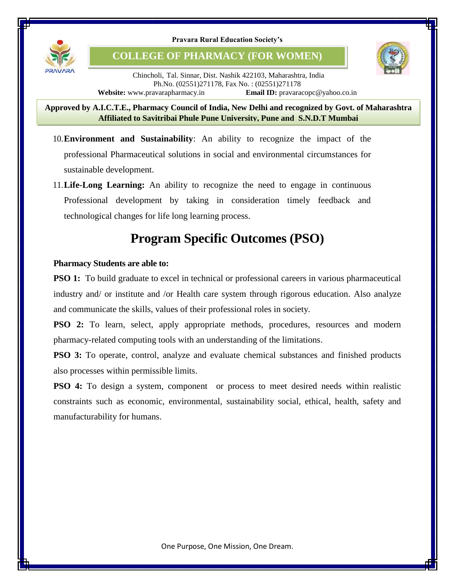

**COLLEGE OF PHARMACY (FOR WOMEN)**



Chincholi, Tal. Sinnar, Dist. Nashik 422103, Maharashtra, India Ph.No. (02551)271178, Fax No. : (02551)271178 **Website:** www.pravarapharmacy.in **Email ID:** pravaracopc@yahoo.co.in

8 **Approved by A.I.C.T.E., Pharmacy Council of India, New Delhi and recognized by Govt. of Maharashtra Affiliated to Savitribai Phule Pune University, Pune and S.N.D.T Mumbai**

- 10.**Environment and Sustainability**: An ability to recognize the impact of the professional Pharmaceutical solutions in social and environmental circumstances for sustainable development.
- 11.**Life-Long Learning:** An ability to recognize the need to engage in continuous Professional development by taking in consideration timely feedback and technological changes for life long learning process.

# **Program Specific Outcomes (PSO)**

### **Pharmacy Students are able to:**

**PSO 1:** To build graduate to excel in technical or professional careers in various pharmaceutical industry and/ or institute and /or Health care system through rigorous education. Also analyze and communicate the skills, values of their professional roles in society.

**PSO 2:** To learn, select, apply appropriate methods, procedures, resources and modern pharmacy-related computing tools with an understanding of the limitations.

**PSO 3:** To operate, control, analyze and evaluate chemical substances and finished products also processes within permissible limits.

**PSO 4:** To design a system, component or process to meet desired needs within realistic constraints such as economic, environmental, sustainability social, ethical, health, safety and manufacturability for humans.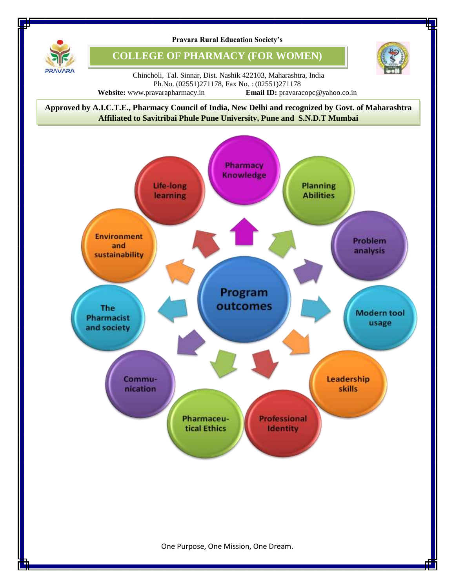

**COLLEGE OF PHARMACY (FOR WOMEN)**



Chincholi, Tal. Sinnar, Dist. Nashik 422103, Maharashtra, India Ph.No. (02551)271178, Fax No. : (02551)271178 **Website:** www.pravarapharmacy.in **Email ID:** pravaracopc@yahoo.co.in

8 **Approved by A.I.C.T.E., Pharmacy Council of India, New Delhi and recognized by Govt. of Maharashtra Affiliated to Savitribai Phule Pune University, Pune and S.N.D.T Mumbai**



One Purpose, One Mission, One Dream.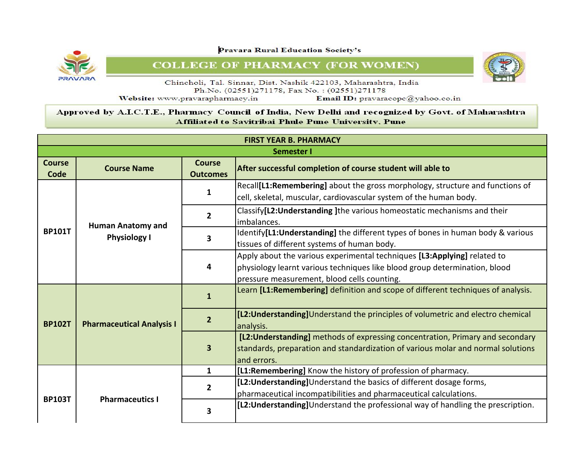

**COLLEGE OF PHARMACY (FOR WOMEN)** 

![](_page_3_Picture_3.jpeg)

Chincholi, Tal. Sinnar, Dist. Nashik 422103, Maharashtra, India Ph.No. (02551)271178, Fax No.: (02551)271178 Website: www.pravarapharmacy.in Email ID: pravaracopc@yahoo.co.in

|                       | <b>FIRST YEAR B. PHARMACY</b>    |                                  |                                                                                                                                                                                                       |  |  |
|-----------------------|----------------------------------|----------------------------------|-------------------------------------------------------------------------------------------------------------------------------------------------------------------------------------------------------|--|--|
|                       | <b>Semester I</b>                |                                  |                                                                                                                                                                                                       |  |  |
| <b>Course</b><br>Code | <b>Course Name</b>               | <b>Course</b><br><b>Outcomes</b> | After successful completion of course student will able to                                                                                                                                            |  |  |
|                       |                                  | 1                                | Recall[L1:Remembering] about the gross morphology, structure and functions of<br>cell, skeletal, muscular, cardiovascular system of the human body.                                                   |  |  |
|                       | <b>Human Anatomy and</b>         | $\overline{2}$                   | Classify[L2: Understanding] the various homeostatic mechanisms and their<br>imbalances.                                                                                                               |  |  |
| <b>BP101T</b>         | <b>Physiology I</b>              | 3                                | Identify[L1:Understanding] the different types of bones in human body & various<br>tissues of different systems of human body.                                                                        |  |  |
|                       |                                  | 4                                | Apply about the various experimental techniques [L3:Applying] related to<br>physiology learnt various techniques like blood group determination, blood<br>pressure measurement, blood cells counting. |  |  |
| <b>BP102T</b>         | <b>Pharmaceutical Analysis I</b> | 1                                | Learn [L1: Remembering] definition and scope of different techniques of analysis.                                                                                                                     |  |  |
|                       |                                  | $\overline{2}$                   | [L2: Understanding] Understand the principles of volumetric and electro chemical<br>analysis.                                                                                                         |  |  |
|                       |                                  | $\overline{\mathbf{3}}$          | [L2: Understanding] methods of expressing concentration, Primary and secondary<br>standards, preparation and standardization of various molar and normal solutions<br>and errors.                     |  |  |
|                       |                                  | $\mathbf{1}$                     | [L1:Remembering] Know the history of profession of pharmacy.                                                                                                                                          |  |  |
| <b>BP103T</b>         |                                  | $\overline{2}$                   | [L2: Understanding] Understand the basics of different dosage forms,<br>pharmaceutical incompatibilities and pharmaceutical calculations.                                                             |  |  |
|                       | <b>Pharmaceutics I</b>           | 3                                | [L2: Understanding] Understand the professional way of handling the prescription.                                                                                                                     |  |  |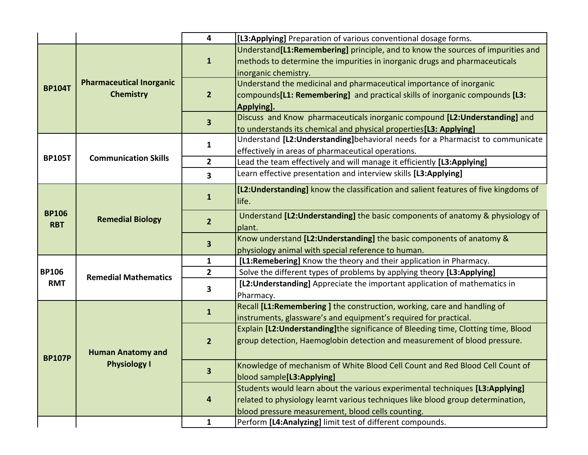|                            |                                                     | 4                       | [L3:Applying] Preparation of various conventional dosage forms.                                                                                                                                                      |
|----------------------------|-----------------------------------------------------|-------------------------|----------------------------------------------------------------------------------------------------------------------------------------------------------------------------------------------------------------------|
|                            | <b>Pharmaceutical Inorganic</b><br><b>Chemistry</b> | 1                       | Understand <sup>[11:</sup> Remembering] principle, and to know the sources of impurities and<br>methods to determine the impurities in inorganic drugs and pharmaceuticals<br>inorganic chemistry.                   |
| <b>BP104T</b>              |                                                     | $\overline{2}$          | Understand the medicinal and pharmaceutical importance of inorganic<br>compounds <sup>[11</sup> : Remembering] and practical skills of inorganic compounds [13:<br>Applying].                                        |
|                            |                                                     | 3                       | Discuss and Know pharmaceuticals inorganic compound [L2: Understanding] and<br>to understands its chemical and physical properties <sup>[13:</sup> Applying]                                                         |
|                            |                                                     | 1                       | Understand [L2: Understanding] behavioral needs for a Pharmacist to communicate<br>effectively in areas of pharmaceutical operations.                                                                                |
| <b>BP105T</b>              | <b>Communication Skills</b>                         | $\overline{2}$          | Lead the team effectively and will manage it efficiently [L3:Applying]                                                                                                                                               |
|                            |                                                     | $\overline{\mathbf{3}}$ | Learn effective presentation and interview skills [L3:Applying]                                                                                                                                                      |
|                            | <b>Remedial Biology</b>                             | $\mathbf{1}$            | [L2:Understanding] know the classification and salient features of five kingdoms of<br>life.                                                                                                                         |
| <b>BP106</b><br><b>RBT</b> |                                                     | $\overline{2}$          | Understand [L2: Understanding] the basic components of anatomy & physiology of<br>plant.                                                                                                                             |
|                            |                                                     | 3                       | Know understand [L2: Understanding] the basic components of anatomy &<br>physiology animal with special reference to human.                                                                                          |
|                            | <b>Remedial Mathematics</b>                         | 1                       | [L1:Remebering] Know the theory and their application in Pharmacy.                                                                                                                                                   |
| <b>BP106</b>               |                                                     | $\overline{2}$          | Solve the different types of problems by applying theory [L3:Applying]                                                                                                                                               |
| <b>RMT</b>                 |                                                     | 3                       | [L2: Understanding] Appreciate the important application of mathematics in<br>Pharmacy.                                                                                                                              |
|                            | <b>Human Anatomy and</b><br><b>Physiology I</b>     | $\overline{1}$          | Recall [L1:Remembering] the construction, working, care and handling of<br>instruments, glassware's and equipment's required for practical.                                                                          |
| <b>BP107P</b>              |                                                     | $\overline{2}$          | Explain [L2: Understanding] the significance of Bleeding time, Clotting time, Blood<br>group detection, Haemoglobin detection and measurement of blood pressure.                                                     |
|                            |                                                     | 3                       | Knowledge of mechanism of White Blood Cell Count and Red Blood Cell Count of<br>blood sample[L3:Applying]                                                                                                            |
|                            |                                                     | 4                       | Students would learn about the various experimental techniques [L3:Applying]<br>related to physiology learnt various techniques like blood group determination,<br>blood pressure measurement, blood cells counting. |
|                            |                                                     | $\mathbf{1}$            | Perform [L4:Analyzing] limit test of different compounds.                                                                                                                                                            |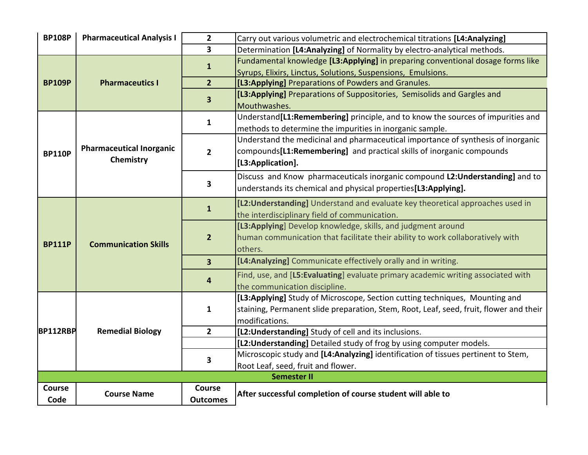| <b>BP108P</b>   | <b>Pharmaceutical Analysis I</b> | $\overline{2}$          | Carry out various volumetric and electrochemical titrations [L4:Analyzing]                                                                              |
|-----------------|----------------------------------|-------------------------|---------------------------------------------------------------------------------------------------------------------------------------------------------|
|                 |                                  | $\overline{\mathbf{3}}$ | Determination [L4:Analyzing] of Normality by electro-analytical methods.                                                                                |
|                 |                                  | $\mathbf{1}$            | Fundamental knowledge [L3:Applying] in preparing conventional dosage forms like                                                                         |
|                 |                                  |                         | Syrups, Elixirs, Linctus, Solutions, Suspensions, Emulsions.                                                                                            |
| <b>BP109P</b>   | <b>Pharmaceutics I</b>           | $\overline{2}$          | [L3:Applying] Preparations of Powders and Granules.                                                                                                     |
|                 |                                  | $\overline{\mathbf{3}}$ | [L3:Applying] Preparations of Suppositories, Semisolids and Gargles and<br>Mouthwashes.                                                                 |
|                 |                                  | $\mathbf{1}$            | Understand <sup>[L1:Remembering]</sup> principle, and to know the sources of impurities and<br>methods to determine the impurities in inorganic sample. |
|                 |                                  |                         | Understand the medicinal and pharmaceutical importance of synthesis of inorganic                                                                        |
| <b>BP110P</b>   | <b>Pharmaceutical Inorganic</b>  | $\overline{2}$          | compounds[L1:Remembering] and practical skills of inorganic compounds                                                                                   |
|                 | Chemistry                        |                         | [L3:Application].                                                                                                                                       |
|                 |                                  |                         | Discuss and Know pharmaceuticals inorganic compound L2:Understanding] and to                                                                            |
|                 |                                  | 3                       | understands its chemical and physical properties [L3:Applying].                                                                                         |
|                 |                                  |                         | [L2: Understanding] Understand and evaluate key theoretical approaches used in                                                                          |
|                 |                                  | $\mathbf{1}$            | the interdisciplinary field of communication.                                                                                                           |
|                 | <b>Communication Skills</b>      |                         | [L3:Applying] Develop knowledge, skills, and judgment around                                                                                            |
|                 |                                  | $\overline{2}$          | human communication that facilitate their ability to work collaboratively with                                                                          |
| <b>BP111P</b>   |                                  |                         | others.                                                                                                                                                 |
|                 |                                  | $\overline{3}$          | [L4:Analyzing] Communicate effectively orally and in writing.                                                                                           |
|                 |                                  | 4                       | Find, use, and [L5:Evaluating] evaluate primary academic writing associated with<br>the communication discipline.                                       |
|                 |                                  |                         | [L3:Applying] Study of Microscope, Section cutting techniques, Mounting and                                                                             |
|                 |                                  | $\mathbf{1}$            | staining, Permanent slide preparation, Stem, Root, Leaf, seed, fruit, flower and their                                                                  |
|                 |                                  |                         | modifications.                                                                                                                                          |
| <b>BP112RBP</b> | <b>Remedial Biology</b>          | $\overline{2}$          | [L2: Understanding] Study of cell and its inclusions.                                                                                                   |
|                 |                                  |                         | [L2: Understanding] Detailed study of frog by using computer models.                                                                                    |
|                 |                                  |                         | Microscopic study and [L4:Analyzing] identification of tissues pertinent to Stem,                                                                       |
|                 |                                  | 3                       | Root Leaf, seed, fruit and flower.                                                                                                                      |
|                 |                                  |                         | <b>Semester II</b>                                                                                                                                      |
| Course          |                                  | Course                  |                                                                                                                                                         |
| Code            | <b>Course Name</b>               | <b>Outcomes</b>         | After successful completion of course student will able to                                                                                              |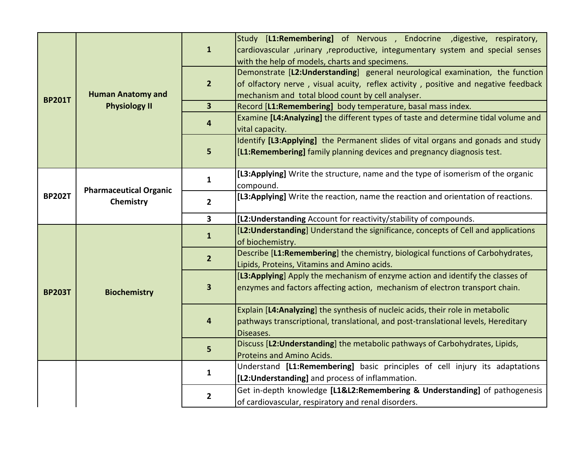| <b>BP201T</b> | <b>Human Anatomy and</b>                   | $\mathbf{1}$            | Study [L1:Remembering] of Nervous , Endocrine , digestive, respiratory,<br>cardiovascular , urinary , reproductive, integumentary system and special senses<br>with the help of models, charts and specimens.            |
|---------------|--------------------------------------------|-------------------------|--------------------------------------------------------------------------------------------------------------------------------------------------------------------------------------------------------------------------|
|               |                                            | $\overline{2}$          | Demonstrate [L2:Understanding] general neurological examination, the function<br>of olfactory nerve, visual acuity, reflex activity, positive and negative feedback<br>mechanism and total blood count by cell analyser. |
|               | <b>Physiology II</b>                       | $\overline{\mathbf{3}}$ | Record [L1:Remembering] body temperature, basal mass index.                                                                                                                                                              |
|               |                                            | 4                       | Examine [L4:Analyzing] the different types of taste and determine tidal volume and<br>vital capacity.                                                                                                                    |
|               |                                            | 5                       | Identify [L3:Applying] the Permanent slides of vital organs and gonads and study<br>[L1:Remembering] family planning devices and pregnancy diagnosis test.                                                               |
|               | <b>Pharmaceutical Organic</b><br>Chemistry | $\mathbf{1}$            | [L3:Applying] Write the structure, name and the type of isomerism of the organic<br>compound.                                                                                                                            |
| <b>BP202T</b> |                                            | $\overline{2}$          | [L3:Applying] Write the reaction, name the reaction and orientation of reactions.                                                                                                                                        |
|               |                                            | $\overline{\mathbf{3}}$ | [L2: Understanding Account for reactivity/stability of compounds.                                                                                                                                                        |
|               | <b>Biochemistry</b>                        | $\mathbf{1}$            | [L2: Understanding] Understand the significance, concepts of Cell and applications<br>of biochemistry.                                                                                                                   |
|               |                                            | $\overline{2}$          | Describe [L1:Remembering] the chemistry, biological functions of Carbohydrates,<br>Lipids, Proteins, Vitamins and Amino acids.                                                                                           |
| <b>BP203T</b> |                                            | 3                       | [L3:Applying] Apply the mechanism of enzyme action and identify the classes of<br>enzymes and factors affecting action, mechanism of electron transport chain.                                                           |
|               |                                            | 4                       | Explain [L4:Analyzing] the synthesis of nucleic acids, their role in metabolic<br>pathways transcriptional, translational, and post-translational levels, Hereditary<br>Diseases.                                        |
|               |                                            | 5                       | Discuss [L2: Understanding] the metabolic pathways of Carbohydrates, Lipids,<br><b>Proteins and Amino Acids.</b>                                                                                                         |
|               |                                            | 1                       | Understand [L1:Remembering] basic principles of cell injury its adaptations<br>[L2: Understanding] and process of inflammation.                                                                                          |
|               |                                            | $\mathbf{2}$            | Get in-depth knowledge [L1&L2:Remembering & Understanding] of pathogenesis<br>of cardiovascular, respiratory and renal disorders.                                                                                        |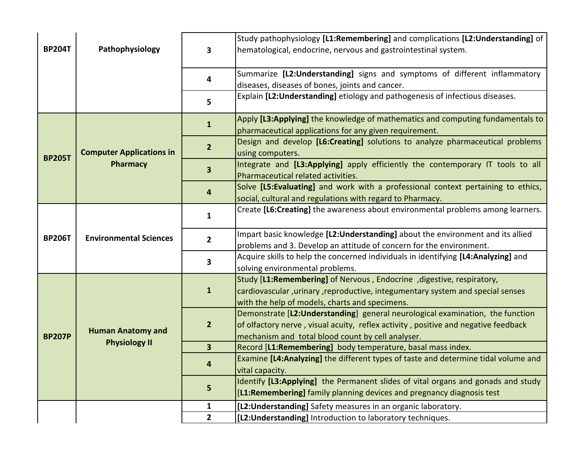|               |                                             |                         | Study pathophysiology [L1:Remembering] and complications [L2:Understanding] of                                       |
|---------------|---------------------------------------------|-------------------------|----------------------------------------------------------------------------------------------------------------------|
| <b>BP204T</b> | Pathophysiology                             | 3                       | hematological, endocrine, nervous and gastrointestinal system.                                                       |
|               |                                             |                         |                                                                                                                      |
|               |                                             | 4                       | Summarize [L2:Understanding] signs and symptoms of different inflammatory                                            |
|               |                                             |                         | diseases, diseases of bones, joints and cancer.                                                                      |
|               |                                             | 5                       | Explain [L2: Understanding] etiology and pathogenesis of infectious diseases.                                        |
|               |                                             | $\mathbf{1}$            | Apply [L3:Applying] the knowledge of mathematics and computing fundamentals to                                       |
|               |                                             |                         | pharmaceutical applications for any given requirement.                                                               |
|               |                                             | $\overline{2}$          | Design and develop [L6:Creating] solutions to analyze pharmaceutical problems                                        |
| <b>BP205T</b> | <b>Computer Applications in</b><br>Pharmacy |                         | using computers.                                                                                                     |
|               |                                             | $\overline{\mathbf{3}}$ | Integrate and [L3:Applying] apply efficiently the contemporary IT tools to all<br>Pharmaceutical related activities. |
|               |                                             |                         | Solve [L5:Evaluating] and work with a professional context pertaining to ethics,                                     |
|               |                                             | 4                       | social, cultural and regulations with regard to Pharmacy.                                                            |
|               | <b>Environmental Sciences</b>               |                         | Create [L6:Creating] the awareness about environmental problems among learners.                                      |
|               |                                             | 1                       |                                                                                                                      |
| <b>BP206T</b> |                                             | $\overline{2}$          | Impart basic knowledge [L2: Understanding] about the environment and its allied                                      |
|               |                                             |                         | problems and 3. Develop an attitude of concern for the environment.                                                  |
|               |                                             | $\overline{\mathbf{3}}$ | Acquire skills to help the concerned individuals in identifying [L4:Analyzing] and                                   |
|               |                                             |                         | solving environmental problems.                                                                                      |
|               |                                             | $\mathbf{1}$            | Study [L1:Remembering] of Nervous, Endocrine, digestive, respiratory,                                                |
|               |                                             |                         | cardiovascular, urinary, reproductive, integumentary system and special senses                                       |
|               |                                             |                         | with the help of models, charts and specimens.                                                                       |
|               |                                             | $\overline{2}$          | Demonstrate [L2: Understanding] general neurological examination, the function                                       |
|               | <b>Human Anatomy and</b>                    |                         | of olfactory nerve, visual acuity, reflex activity, positive and negative feedback                                   |
| <b>BP207P</b> | <b>Physiology II</b>                        | $\overline{\mathbf{3}}$ | mechanism and total blood count by cell analyser.                                                                    |
|               |                                             |                         | Record [L1:Remembering] body temperature, basal mass index.                                                          |
|               |                                             |                         | Examine [L4:Analyzing] the different types of taste and determine tidal volume and<br>vital capacity.                |
|               |                                             | 5                       | Identify [L3:Applying] the Permanent slides of vital organs and gonads and study                                     |
|               |                                             |                         | [L1:Remembering] family planning devices and pregnancy diagnosis test                                                |
|               |                                             | 1                       | [L2: Understanding] Safety measures in an organic laboratory.                                                        |
|               |                                             | $\overline{2}$          | [L2: Understanding] Introduction to laboratory techniques.                                                           |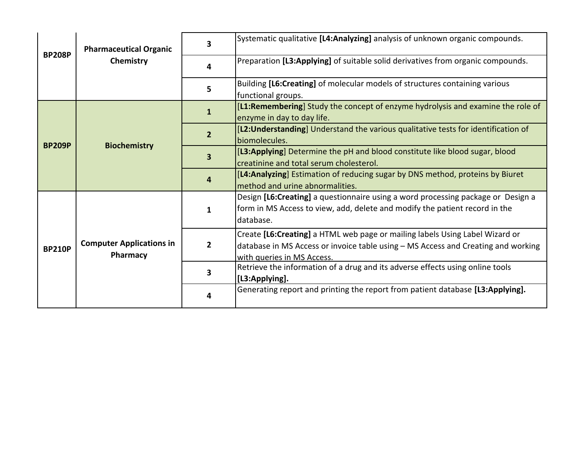| <b>BP208P</b> | <b>Pharmaceutical Organic</b><br>Chemistry  | 3                       | Systematic qualitative [L4:Analyzing] analysis of unknown organic compounds.                                                                                                                    |
|---------------|---------------------------------------------|-------------------------|-------------------------------------------------------------------------------------------------------------------------------------------------------------------------------------------------|
|               |                                             | 4                       | Preparation [L3:Applying] of suitable solid derivatives from organic compounds.                                                                                                                 |
|               |                                             | 5                       | Building [L6:Creating] of molecular models of structures containing various<br>functional groups.                                                                                               |
|               |                                             | $\mathbf{1}$            | [L1:Remembering] Study the concept of enzyme hydrolysis and examine the role of<br>enzyme in day to day life.                                                                                   |
| <b>BP209P</b> | <b>Biochemistry</b>                         | 2 <sup>1</sup>          | [L2: Understanding] Understand the various qualitative tests for identification of<br>biomolecules.                                                                                             |
|               |                                             | $\overline{\mathbf{3}}$ | [L3:Applying] Determine the pH and blood constitute like blood sugar, blood<br>creatinine and total serum cholesterol.                                                                          |
|               |                                             | 4                       | [L4: Analyzing] Estimation of reducing sugar by DNS method, proteins by Biuret<br>method and urine abnormalities.                                                                               |
|               |                                             | $\mathbf{1}$            | Design [L6:Creating] a questionnaire using a word processing package or Design a<br>form in MS Access to view, add, delete and modify the patient record in the<br>database.                    |
| <b>BP210P</b> | <b>Computer Applications in</b><br>Pharmacy | $\overline{2}$          | Create [L6:Creating] a HTML web page or mailing labels Using Label Wizard or<br>database in MS Access or invoice table using - MS Access and Creating and working<br>with queries in MS Access. |
|               |                                             | $\overline{\mathbf{3}}$ | Retrieve the information of a drug and its adverse effects using online tools<br>[L3:Applying].                                                                                                 |
|               |                                             | 4                       | Generating report and printing the report from patient database [L3:Applying].                                                                                                                  |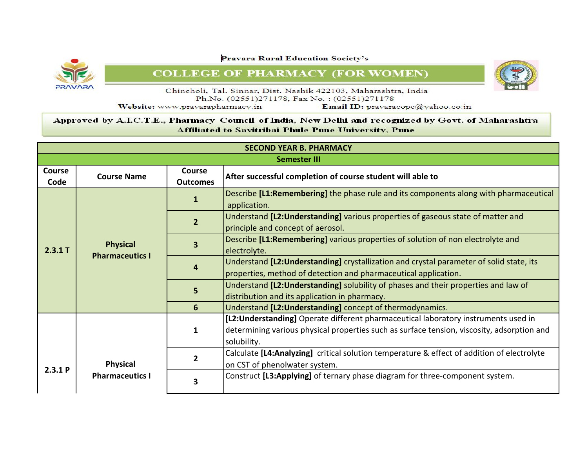**PRAVARA** 

**Pravara Rural Education Society's** 

**COLLEGE OF PHARMACY (FOR WOMEN)** 

![](_page_9_Picture_3.jpeg)

Chincholi, Tal. Sinnar, Dist. Nashik 422103, Maharashtra, India Ph.No. (02551)271178, Fax No.: (02551)271178

Website: www.pravarapharmacy.in

Email ID: pravaracopc@yahoo.co.in

| <b>SECOND YEAR B. PHARMACY</b> |                                           |                                  |                                                                                                                                                                                                  |  |  |
|--------------------------------|-------------------------------------------|----------------------------------|--------------------------------------------------------------------------------------------------------------------------------------------------------------------------------------------------|--|--|
|                                | <b>Semester III</b>                       |                                  |                                                                                                                                                                                                  |  |  |
| <b>Course</b><br>Code          | <b>Course Name</b>                        | <b>Course</b><br><b>Outcomes</b> | After successful completion of course student will able to                                                                                                                                       |  |  |
| 2.3.1 T                        | <b>Physical</b><br><b>Pharmaceutics I</b> | 1                                | Describe [L1:Remembering] the phase rule and its components along with pharmaceutical<br>application.                                                                                            |  |  |
|                                |                                           | $\overline{2}$                   | Understand [L2: Understanding] various properties of gaseous state of matter and<br>principle and concept of aerosol.                                                                            |  |  |
|                                |                                           | 3                                | Describe [L1:Remembering] various properties of solution of non electrolyte and<br>electrolyte.                                                                                                  |  |  |
|                                |                                           | 4                                | Understand [L2: Understanding] crystallization and crystal parameter of solid state, its<br>properties, method of detection and pharmaceutical application.                                      |  |  |
|                                |                                           | 5                                | Understand [L2: Understanding] solubility of phases and their properties and law of<br>distribution and its application in pharmacy.                                                             |  |  |
|                                |                                           | 6                                | Understand [L2: Understanding] concept of thermodynamics.                                                                                                                                        |  |  |
|                                | <b>Physical</b><br><b>Pharmaceutics I</b> | $\mathbf{1}$                     | [L2: Understanding] Operate different pharmaceutical laboratory instruments used in<br>determining various physical properties such as surface tension, viscosity, adsorption and<br>solubility. |  |  |
| 2.3.1P                         |                                           | $\overline{2}$                   | Calculate [L4:Analyzing] critical solution temperature & effect of addition of electrolyte<br>on CST of phenolwater system.                                                                      |  |  |
|                                |                                           | 3                                | Construct [L3:Applying] of ternary phase diagram for three-component system.                                                                                                                     |  |  |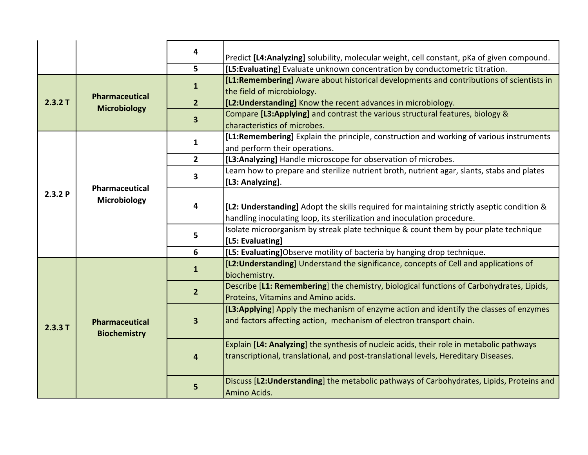|         |                                              | 4                       | Predict [L4:Analyzing] solubility, molecular weight, cell constant, pKa of given compound.                                                                            |
|---------|----------------------------------------------|-------------------------|-----------------------------------------------------------------------------------------------------------------------------------------------------------------------|
|         |                                              | 5                       | [L5: Evaluating] Evaluate unknown concentration by conductometric titration.                                                                                          |
|         |                                              |                         | [L1:Remembering] Aware about historical developments and contributions of scientists in                                                                               |
|         | Pharmaceutical                               | $\mathbf{1}$            | the field of microbiology.                                                                                                                                            |
| 2.3.2T  | <b>Microbiology</b>                          | 2 <sup>1</sup>          | [L2: Understanding] Know the recent advances in microbiology.                                                                                                         |
|         |                                              | 3                       | Compare [L3:Applying] and contrast the various structural features, biology &                                                                                         |
|         |                                              |                         | characteristics of microbes.                                                                                                                                          |
|         |                                              | $\mathbf{1}$            | [L1:Remembering] Explain the principle, construction and working of various instruments                                                                               |
|         |                                              |                         | and perform their operations.                                                                                                                                         |
|         |                                              | $\overline{2}$          | [L3:Analyzing] Handle microscope for observation of microbes.                                                                                                         |
|         |                                              | 3                       | Learn how to prepare and sterilize nutrient broth, nutrient agar, slants, stabs and plates                                                                            |
|         | Pharmaceutical                               |                         | [L3: Analyzing].                                                                                                                                                      |
| 2.3.2P  | Microbiology                                 | 4                       | [L2: Understanding] Adopt the skills required for maintaining strictly aseptic condition &<br>handling inoculating loop, its sterilization and inoculation procedure. |
|         |                                              | 5                       | Isolate microorganism by streak plate technique & count them by pour plate technique                                                                                  |
|         |                                              |                         | [L5: Evaluating]                                                                                                                                                      |
|         |                                              | 6                       | [L5: Evaluating]Observe motility of bacteria by hanging drop technique.                                                                                               |
|         | <b>Pharmaceutical</b><br><b>Biochemistry</b> | $\mathbf{1}$            | [L2: Understanding] Understand the significance, concepts of Cell and applications of<br>biochemistry.                                                                |
|         |                                              | $\overline{2}$          | Describe [L1: Remembering] the chemistry, biological functions of Carbohydrates, Lipids,<br>Proteins, Vitamins and Amino acids.                                       |
|         |                                              |                         | [L3:Applying] Apply the mechanism of enzyme action and identify the classes of enzymes                                                                                |
| 2.3.3 T |                                              | 3                       | and factors affecting action, mechanism of electron transport chain.                                                                                                  |
|         |                                              |                         | Explain [L4: Analyzing] the synthesis of nucleic acids, their role in metabolic pathways                                                                              |
|         |                                              | $\overline{\mathbf{4}}$ | transcriptional, translational, and post-translational levels, Hereditary Diseases.                                                                                   |
|         |                                              | 5                       | Discuss [L2: Understanding] the metabolic pathways of Carbohydrates, Lipids, Proteins and<br>Amino Acids.                                                             |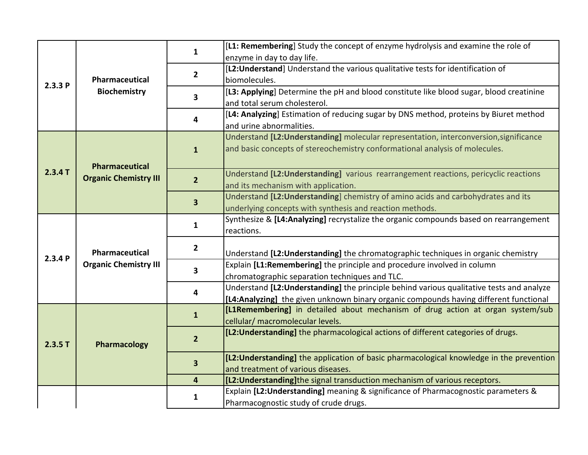| 2.3.3P  |                              | 1                       | [L1: Remembering] Study the concept of enzyme hydrolysis and examine the role of          |
|---------|------------------------------|-------------------------|-------------------------------------------------------------------------------------------|
|         |                              |                         | enzyme in day to day life.                                                                |
|         |                              |                         | [L2: Understand] Understand the various qualitative tests for identification of           |
|         | Pharmaceutical               | $\overline{2}$          | biomolecules.                                                                             |
|         | <b>Biochemistry</b>          | $\overline{\mathbf{3}}$ | [L3: Applying] Determine the pH and blood constitute like blood sugar, blood creatinine   |
|         |                              |                         | and total serum cholesterol.                                                              |
|         |                              |                         | [L4: Analyzing] Estimation of reducing sugar by DNS method, proteins by Biuret method     |
|         |                              | 4                       | and urine abnormalities.                                                                  |
|         |                              |                         | Understand [L2: Understanding] molecular representation, interconversion, significance    |
|         |                              | $\mathbf{1}$            | and basic concepts of stereochemistry conformational analysis of molecules.               |
|         |                              |                         |                                                                                           |
| 2.3.4 T | <b>Pharmaceutical</b>        |                         | Understand [L2: Understanding] various rearrangement reactions, pericyclic reactions      |
|         | <b>Organic Chemistry III</b> | $\overline{2}$          | and its mechanism with application.                                                       |
|         |                              |                         | Understand [L2: Understanding] chemistry of amino acids and carbohydrates and its         |
|         |                              | $\overline{\mathbf{3}}$ | underlying concepts with synthesis and reaction methods.                                  |
|         | Pharmaceutical               | 1                       | Synthesize & [L4:Analyzing] recrystalize the organic compounds based on rearrangement     |
|         |                              |                         | reactions.                                                                                |
|         |                              | $\overline{2}$          |                                                                                           |
| 2.3.4P  |                              |                         | Understand [L2: Understanding] the chromatographic techniques in organic chemistry        |
|         | <b>Organic Chemistry III</b> |                         | Explain [L1:Remembering] the principle and procedure involved in column                   |
|         |                              | 3                       | chromatographic separation techniques and TLC.                                            |
|         |                              | 4                       | Understand [L2: Understanding] the principle behind various qualitative tests and analyze |
|         |                              |                         | [L4:Analyzing] the given unknown binary organic compounds having different functional     |
|         |                              | $\mathbf{1}$            | [L1Remembering] in detailed about mechanism of drug action at organ system/sub            |
|         |                              |                         | cellular/ macromolecular levels.                                                          |
|         |                              | $\overline{2}$          | [L2: Understanding] the pharmacological actions of different categories of drugs.         |
| 2.3.5T  | Pharmacology                 |                         |                                                                                           |
|         |                              |                         | [L2: Understanding] the application of basic pharmacological knowledge in the prevention  |
|         |                              | 3                       | and treatment of various diseases.                                                        |
|         |                              | $\overline{\mathbf{4}}$ | [L2: Understanding] the signal transduction mechanism of various receptors.               |
|         |                              |                         | Explain [L2: Understanding] meaning & significance of Pharmacognostic parameters &        |
|         |                              | 1                       | Pharmacognostic study of crude drugs.                                                     |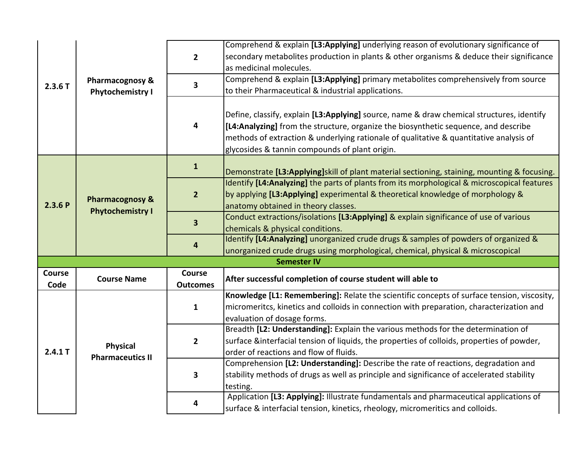|                       |                                            |                                  | Comprehend & explain [L3:Applying] underlying reason of evolutionary significance of                          |
|-----------------------|--------------------------------------------|----------------------------------|---------------------------------------------------------------------------------------------------------------|
|                       |                                            | $\overline{2}$                   | secondary metabolites production in plants & other organisms & deduce their significance                      |
|                       |                                            |                                  | as medicinal molecules.<br>Comprehend & explain [L3:Applying] primary metabolites comprehensively from source |
| 2.3.6T                | Pharmacognosy &                            | $\overline{\mathbf{3}}$          |                                                                                                               |
|                       | <b>Phytochemistry I</b>                    |                                  | to their Pharmaceutical & industrial applications.                                                            |
|                       |                                            |                                  | Define, classify, explain [L3:Applying] source, name & draw chemical structures, identify                     |
|                       |                                            | 4                                | [L4:Analyzing] from the structure, organize the biosynthetic sequence, and describe                           |
|                       |                                            |                                  | methods of extraction & underlying rationale of qualitative & quantitative analysis of                        |
|                       |                                            |                                  | glycosides & tannin compounds of plant origin.                                                                |
|                       |                                            |                                  |                                                                                                               |
|                       |                                            | $\mathbf{1}$                     | Demonstrate [L3:Applying]skill of plant material sectioning, staining, mounting & focusing.                   |
|                       |                                            |                                  | Identify [L4:Analyzing] the parts of plants from its morphological & microscopical features                   |
|                       | <b>Pharmacognosy &amp;</b>                 | $\overline{2}$                   | by applying [L3:Applying] experimental & theoretical knowledge of morphology &                                |
| 2.3.6P                | <b>Phytochemistry I</b>                    |                                  | anatomy obtained in theory classes.                                                                           |
|                       |                                            | 3                                | Conduct extractions/isolations [L3:Applying] & explain significance of use of various                         |
|                       |                                            |                                  | chemicals & physical conditions.                                                                              |
|                       |                                            | 4                                | Identify [L4:Analyzing] unorganized crude drugs & samples of powders of organized &                           |
|                       |                                            |                                  | unorganized crude drugs using morphological, chemical, physical & microscopical                               |
|                       |                                            |                                  | <b>Semester IV</b>                                                                                            |
| <b>Course</b><br>Code | <b>Course Name</b>                         | <b>Course</b><br><b>Outcomes</b> | After successful completion of course student will able to                                                    |
|                       |                                            |                                  | Knowledge [L1: Remembering]: Relate the scientific concepts of surface tension, viscosity,                    |
|                       |                                            | $\mathbf{1}$                     | micromeritcs, kinetics and colloids in connection with preparation, characterization and                      |
|                       |                                            |                                  | evaluation of dosage forms.                                                                                   |
|                       |                                            |                                  | Breadth [L2: Understanding]: Explain the various methods for the determination of                             |
|                       |                                            | $\mathbf{2}$                     | surface &interfacial tension of liquids, the properties of colloids, properties of powder,                    |
| 2.4.1 T               | <b>Physical</b><br><b>Pharmaceutics II</b> |                                  | order of reactions and flow of fluids.                                                                        |
|                       |                                            |                                  | Comprehension [L2: Understanding]: Describe the rate of reactions, degradation and                            |
|                       |                                            | 3                                | stability methods of drugs as well as principle and significance of accelerated stability                     |
|                       |                                            |                                  | testing.                                                                                                      |
|                       |                                            | 4                                | Application [L3: Applying]: Illustrate fundamentals and pharmaceutical applications of                        |
|                       |                                            |                                  | surface & interfacial tension, kinetics, rheology, micromeritics and colloids.                                |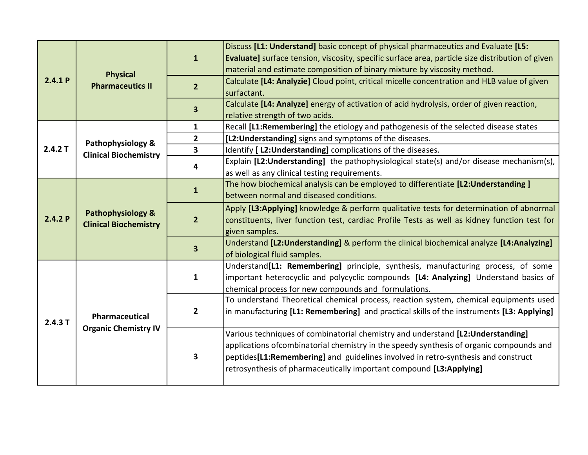| 2.4.1P | <b>Physical</b><br><b>Pharmaceutics II</b>        | $\mathbf{1}$            | Discuss [L1: Understand] basic concept of physical pharmaceutics and Evaluate [L5:<br><b>Evaluate</b> ] surface tension, viscosity, specific surface area, particle size distribution of given<br>material and estimate composition of binary mixture by viscosity method.                                                                          |
|--------|---------------------------------------------------|-------------------------|-----------------------------------------------------------------------------------------------------------------------------------------------------------------------------------------------------------------------------------------------------------------------------------------------------------------------------------------------------|
|        |                                                   | $\overline{2}$          | Calculate [L4: Analyzie] Cloud point, critical micelle concentration and HLB value of given<br>surfactant.                                                                                                                                                                                                                                          |
|        |                                                   | $\overline{\mathbf{3}}$ | Calculate [L4: Analyze] energy of activation of acid hydrolysis, order of given reaction,<br>relative strength of two acids.                                                                                                                                                                                                                        |
|        |                                                   | $\mathbf{1}$            | Recall [L1:Remembering] the etiology and pathogenesis of the selected disease states                                                                                                                                                                                                                                                                |
|        | Pathophysiology &                                 | $\overline{2}$          | [L2: Understanding] signs and symptoms of the diseases.                                                                                                                                                                                                                                                                                             |
| 2.4.2T | <b>Clinical Biochemistry</b>                      | $\overline{\mathbf{3}}$ | Identify [ L2: Understanding] complications of the diseases.                                                                                                                                                                                                                                                                                        |
|        |                                                   | 4                       | Explain [L2: Understanding] the pathophysiological state(s) and/or disease mechanism(s),<br>as well as any clinical testing requirements.                                                                                                                                                                                                           |
| 2.4.2P | Pathophysiology &<br><b>Clinical Biochemistry</b> | $\mathbf{1}$            | The how biochemical analysis can be employed to differentiate [L2: Understanding]<br>between normal and diseased conditions.                                                                                                                                                                                                                        |
|        |                                                   | $\overline{2}$          | Apply [L3:Applying] knowledge & perform qualitative tests for determination of abnormal<br>constituents, liver function test, cardiac Profile Tests as well as kidney function test for<br>given samples.                                                                                                                                           |
|        |                                                   | $\overline{\mathbf{3}}$ | Understand [L2:Understanding] & perform the clinical biochemical analyze [L4:Analyzing]<br>of biological fluid samples.                                                                                                                                                                                                                             |
| 2.4.3T | Pharmaceutical<br><b>Organic Chemistry IV</b>     | $\mathbf{1}$            | Understand <sup>[L1:</sup> Remembering] principle, synthesis, manufacturing process, of some<br>important heterocyclic and polycyclic compounds [L4: Analyzing] Understand basics of<br>chemical process for new compounds and formulations.                                                                                                        |
|        |                                                   | $\mathbf{2}$            | To understand Theoretical chemical process, reaction system, chemical equipments used<br>in manufacturing [L1: Remembering] and practical skills of the instruments [L3: Applying]                                                                                                                                                                  |
|        |                                                   | 3                       | Various techniques of combinatorial chemistry and understand [L2:Understanding]<br>applications of combinatorial chemistry in the speedy synthesis of organic compounds and<br>peptides <sup>[L1:Remembering]</sup> and guidelines involved in retro-synthesis and construct<br>retrosynthesis of pharmaceutically important compound [L3:Applying] |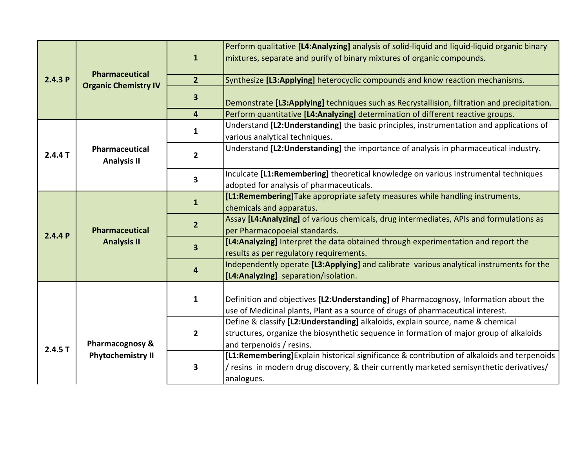|         |                                             | $\mathbf{1}$            | Perform qualitative [L4:Analyzing] analysis of solid-liquid and liquid-liquid organic binary<br>mixtures, separate and purify of binary mixtures of organic compounds.                                 |
|---------|---------------------------------------------|-------------------------|--------------------------------------------------------------------------------------------------------------------------------------------------------------------------------------------------------|
| 2.4.3P  | Pharmaceutical                              | $\overline{2}$          | Synthesize [L3:Applying] heterocyclic compounds and know reaction mechanisms.                                                                                                                          |
|         | <b>Organic Chemistry IV</b>                 | $\mathbf{3}$            | Demonstrate [L3:Applying] techniques such as Recrystallision, filtration and precipitation.                                                                                                            |
|         |                                             | $\overline{\mathbf{4}}$ | Perform quantitative [L4:Analyzing] determination of different reactive groups.                                                                                                                        |
|         |                                             | 1                       | Understand [L2: Understanding] the basic principles, instrumentation and applications of<br>various analytical techniques.                                                                             |
| 2.4.4 T | <b>Pharmaceutical</b><br><b>Analysis II</b> | $\overline{2}$          | Understand [L2: Understanding] the importance of analysis in pharmaceutical industry.                                                                                                                  |
|         |                                             | $\overline{\mathbf{3}}$ | Inculcate [L1:Remembering] theoretical knowledge on various instrumental techniques<br>adopted for analysis of pharmaceuticals.                                                                        |
|         |                                             | $\mathbf{1}$            | [L1:Remembering]Take appropriate safety measures while handling instruments,<br>chemicals and apparatus.                                                                                               |
| 2.4.4P  | <b>Pharmaceutical</b><br><b>Analysis II</b> | $\overline{2}$          | Assay [L4:Analyzing] of various chemicals, drug intermediates, APIs and formulations as<br>per Pharmacopoeial standards.                                                                               |
|         |                                             | $\overline{\mathbf{3}}$ | [L4:Analyzing] Interpret the data obtained through experimentation and report the<br>results as per regulatory requirements.                                                                           |
|         |                                             | $\overline{\mathbf{4}}$ | Independently operate [L3:Applying] and calibrate various analytical instruments for the<br>[L4:Analyzing] separation/isolation.                                                                       |
|         |                                             | $\mathbf{1}$            | Definition and objectives [L2:Understanding] of Pharmacognosy, Information about the<br>use of Medicinal plants, Plant as a source of drugs of pharmaceutical interest.                                |
| 2.4.5T  | Pharmacognosy &                             | $\overline{2}$          | Define & classify [L2:Understanding] alkaloids, explain source, name & chemical<br>structures, organize the biosynthetic sequence in formation of major group of alkaloids<br>and terpenoids / resins. |
|         | <b>Phytochemistry II</b>                    | 3                       | [L1:Remembering] Explain historical significance & contribution of alkaloids and terpenoids<br>/ resins in modern drug discovery, & their currently marketed semisynthetic derivatives/<br>analogues.  |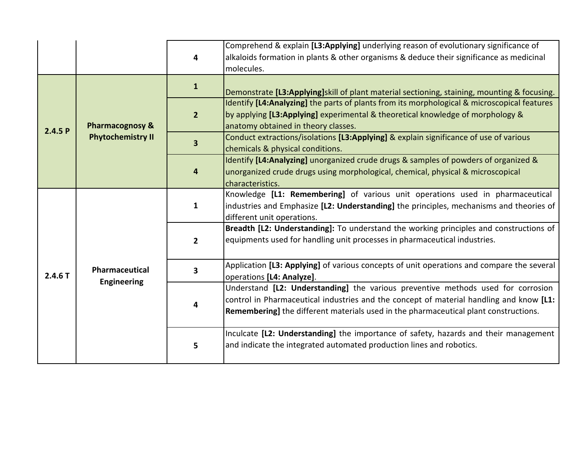|        |                                                        | 4                       | Comprehend & explain [L3:Applying] underlying reason of evolutionary significance of<br>alkaloids formation in plants & other organisms & deduce their significance as medicinal<br>molecules.                                                                      |
|--------|--------------------------------------------------------|-------------------------|---------------------------------------------------------------------------------------------------------------------------------------------------------------------------------------------------------------------------------------------------------------------|
|        | <b>Pharmacognosy &amp;</b><br><b>Phytochemistry II</b> | $\mathbf{1}$            | Demonstrate [L3:Applying]skill of plant material sectioning, staining, mounting & focusing.                                                                                                                                                                         |
| 2.4.5P |                                                        | 2 <sup>2</sup>          | Identify [L4:Analyzing] the parts of plants from its morphological & microscopical features<br>by applying [L3:Applying] experimental & theoretical knowledge of morphology &<br>anatomy obtained in theory classes.                                                |
|        |                                                        | $\overline{\mathbf{3}}$ | Conduct extractions/isolations [L3:Applying] & explain significance of use of various<br>chemicals & physical conditions.                                                                                                                                           |
|        |                                                        | 4                       | Identify [L4:Analyzing] unorganized crude drugs & samples of powders of organized &<br>unorganized crude drugs using morphological, chemical, physical & microscopical<br>characteristics.                                                                          |
|        | Pharmaceutical<br><b>Engineering</b>                   | $\mathbf{1}$            | Knowledge [L1: Remembering] of various unit operations used in pharmaceutical<br>industries and Emphasize [L2: Understanding] the principles, mechanisms and theories of<br>different unit operations.                                                              |
|        |                                                        | $\overline{2}$          | Breadth [L2: Understanding]: To understand the working principles and constructions of<br>equipments used for handling unit processes in pharmaceutical industries.                                                                                                 |
| 2.4.6T |                                                        | $\overline{\mathbf{3}}$ | Application [L3: Applying] of various concepts of unit operations and compare the several<br>operations [L4: Analyze].                                                                                                                                              |
|        |                                                        | 4                       | Understand [L2: Understanding] the various preventive methods used for corrosion<br>control in Pharmaceutical industries and the concept of material handling and know [L1:<br>Remembering] the different materials used in the pharmaceutical plant constructions. |
|        |                                                        | 5                       | Inculcate [L2: Understanding] the importance of safety, hazards and their management<br>and indicate the integrated automated production lines and robotics.                                                                                                        |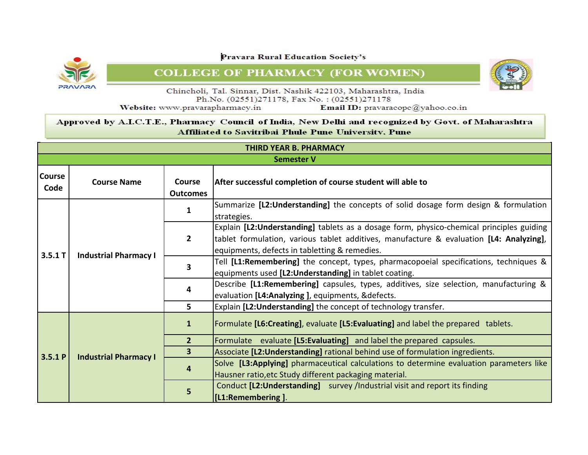**NRAVARS** 

**Pravara Rural Education Society's** 

## **COLLEGE OF PHARMACY (FOR WOMEN)**

![](_page_16_Picture_3.jpeg)

Chincholi, Tal. Sinnar, Dist. Nashik 422103, Maharashtra, India Ph.No. (02551)271178, Fax No.: (02551)271178

Website: www.pravarapharmacy.in

Email ID: pravaracope@yahoo.co.in

|                       | <b>THIRD YEAR B. PHARMACY</b> |                                  |                                                                                                                                                                                                                                       |  |  |
|-----------------------|-------------------------------|----------------------------------|---------------------------------------------------------------------------------------------------------------------------------------------------------------------------------------------------------------------------------------|--|--|
|                       | <b>Semester V</b>             |                                  |                                                                                                                                                                                                                                       |  |  |
| <b>Course</b><br>Code | <b>Course Name</b>            | <b>Course</b><br><b>Outcomes</b> | After successful completion of course student will able to                                                                                                                                                                            |  |  |
| 3.5.1 T               |                               | 1                                | Summarize [L2: Understanding] the concepts of solid dosage form design & formulation<br>strategies.                                                                                                                                   |  |  |
|                       | <b>Industrial Pharmacy I</b>  | $\mathbf{2}$                     | Explain [L2: Understanding] tablets as a dosage form, physico-chemical principles guiding<br>tablet formulation, various tablet additives, manufacture & evaluation [L4: Analyzing],<br>equipments, defects in tabletting & remedies. |  |  |
|                       |                               | 3                                | Tell [L1:Remembering] the concept, types, pharmacopoeial specifications, techniques &<br>equipments used [L2: Understanding] in tablet coating.                                                                                       |  |  |
|                       |                               | 4                                | Describe [L1:Remembering] capsules, types, additives, size selection, manufacturing &<br>evaluation [L4:Analyzing], equipments, &defects.                                                                                             |  |  |
|                       |                               | 5.                               | Explain [L2: Understanding] the concept of technology transfer.                                                                                                                                                                       |  |  |
|                       |                               | $\mathbf{1}$                     | Formulate [L6:Creating], evaluate [L5:Evaluating] and label the prepared tablets.                                                                                                                                                     |  |  |
|                       |                               | 2 <sup>1</sup>                   | Formulate evaluate [L5:Evaluating] and label the prepared capsules.                                                                                                                                                                   |  |  |
| 3.5.1 P               | <b>Industrial Pharmacy I</b>  | $\overline{\mathbf{3}}$          | Associate [L2: Understanding] rational behind use of formulation ingredients.                                                                                                                                                         |  |  |
|                       |                               | 4                                | Solve [L3:Applying] pharmaceutical calculations to determine evaluation parameters like<br>Hausner ratio, etc Study different packaging material.                                                                                     |  |  |
|                       |                               | 5                                | Conduct [L2: Understanding] survey / Industrial visit and report its finding<br>[L1:Remembering].                                                                                                                                     |  |  |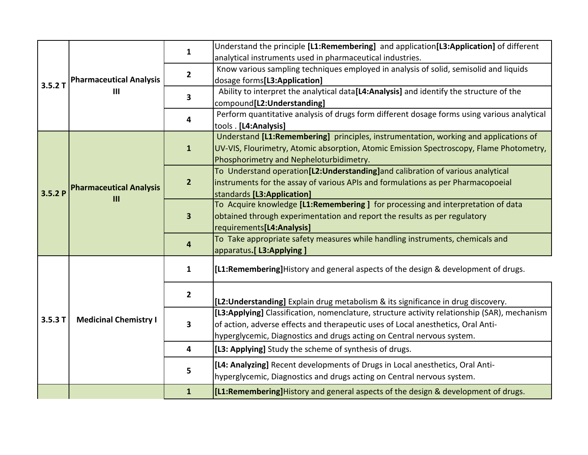|        |                                     | $\mathbf{1}$            | Understand the principle [L1:Remembering] and application[L3:Application] of different       |
|--------|-------------------------------------|-------------------------|----------------------------------------------------------------------------------------------|
|        |                                     |                         | analytical instruments used in pharmaceutical industries.                                    |
|        |                                     | $\mathbf{2}$            | Know various sampling techniques employed in analysis of solid, semisolid and liquids        |
| 3.5.2T | <b>Pharmaceutical Analysis</b>      |                         | dosage forms[L3:Application]                                                                 |
|        | III                                 | $\overline{\mathbf{3}}$ | Ability to interpret the analytical data[L4:Analysis] and identify the structure of the      |
|        |                                     |                         | compound[L2:Understanding]                                                                   |
|        |                                     | 4                       | Perform quantitative analysis of drugs form different dosage forms using various analytical  |
|        |                                     |                         | tools . [L4:Analysis]                                                                        |
|        |                                     |                         | Understand [L1:Remembering] principles, instrumentation, working and applications of         |
|        |                                     | $\mathbf{1}$            | UV-VIS, Flourimetry, Atomic absorption, Atomic Emission Spectroscopy, Flame Photometry,      |
|        |                                     |                         | Phosphorimetry and Nepheloturbidimetry.                                                      |
|        |                                     |                         | To Understand operation[L2:Understanding]and calibration of various analytical               |
|        | <b>Pharmaceutical Analysis</b><br>Ш | $\overline{2}$          | instruments for the assay of various APIs and formulations as per Pharmacopoeial             |
| 3.5.2P |                                     |                         | standards [L3:Application]                                                                   |
|        |                                     | $\overline{\mathbf{3}}$ | To Acquire knowledge [L1:Remembering] for processing and interpretation of data              |
|        |                                     |                         | obtained through experimentation and report the results as per regulatory                    |
|        |                                     |                         | requirements[L4:Analysis]                                                                    |
|        |                                     | 4                       | To Take appropriate safety measures while handling instruments, chemicals and                |
|        |                                     |                         | apparatus.[ L3:Applying ]                                                                    |
|        |                                     | $\mathbf{1}$            | [L1:Remembering] History and general aspects of the design & development of drugs.           |
|        |                                     | $\overline{\mathbf{2}}$ | [L2: Understanding] Explain drug metabolism & its significance in drug discovery.            |
|        |                                     |                         | [L3:Applying] Classification, nomenclature, structure activity relationship (SAR), mechanism |
| 3.5.3T | <b>Medicinal Chemistry I</b>        | 3                       | of action, adverse effects and therapeutic uses of Local anesthetics, Oral Anti-             |
|        |                                     |                         | hyperglycemic, Diagnostics and drugs acting on Central nervous system.                       |
|        |                                     |                         |                                                                                              |
|        |                                     | $\overline{\mathbf{4}}$ | [L3: Applying] Study the scheme of synthesis of drugs.                                       |
|        |                                     | 5                       | [L4: Analyzing] Recent developments of Drugs in Local anesthetics, Oral Anti-                |
|        |                                     |                         | hyperglycemic, Diagnostics and drugs acting on Central nervous system.                       |
|        |                                     | $\mathbf{1}$            | [L1:Remembering]History and general aspects of the design & development of drugs.            |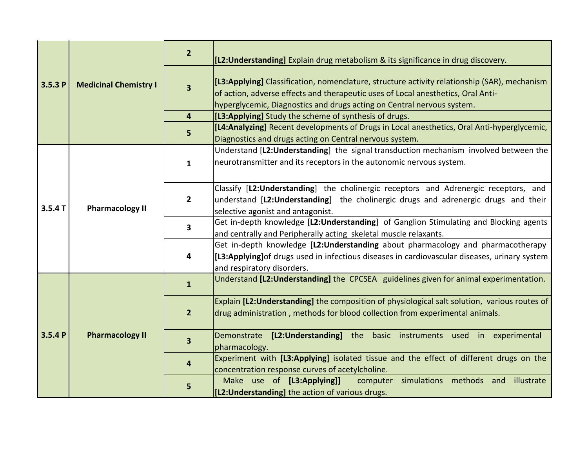| 3.5.3P | <b>Medicinal Chemistry I</b> | $\overline{2}$          | [L2: Understanding] Explain drug metabolism & its significance in drug discovery.                                                                                                                                                                          |
|--------|------------------------------|-------------------------|------------------------------------------------------------------------------------------------------------------------------------------------------------------------------------------------------------------------------------------------------------|
|        |                              | $\overline{\mathbf{3}}$ | [L3:Applying] Classification, nomenclature, structure activity relationship (SAR), mechanism<br>of action, adverse effects and therapeutic uses of Local anesthetics, Oral Anti-<br>hyperglycemic, Diagnostics and drugs acting on Central nervous system. |
|        |                              | 4                       | [L3:Applying] Study the scheme of synthesis of drugs.                                                                                                                                                                                                      |
|        |                              | 5                       | [L4:Analyzing] Recent developments of Drugs in Local anesthetics, Oral Anti-hyperglycemic,<br>Diagnostics and drugs acting on Central nervous system.                                                                                                      |
| 3.5.4T |                              | $\mathbf{1}$            | Understand [L2: Understanding] the signal transduction mechanism involved between the<br>neurotransmitter and its receptors in the autonomic nervous system.                                                                                               |
|        | <b>Pharmacology II</b>       | $\overline{2}$          | Classify [L2:Understanding] the cholinergic receptors and Adrenergic receptors, and<br>understand [L2:Understanding] the cholinergic drugs and adrenergic drugs and their<br>selective agonist and antagonist.                                             |
|        |                              | 3                       | Get in-depth knowledge [L2:Understanding] of Ganglion Stimulating and Blocking agents<br>and centrally and Peripherally acting skeletal muscle relaxants.                                                                                                  |
|        |                              | 4                       | Get in-depth knowledge [L2:Understanding about pharmacology and pharmacotherapy<br>[L3:Applying] of drugs used in infectious diseases in cardiovascular diseases, urinary system<br>and respiratory disorders.                                             |
|        |                              | $\mathbf{1}$            | Understand [L2:Understanding] the CPCSEA guidelines given for animal experimentation.                                                                                                                                                                      |
| 3.5.4P |                              | $\overline{2}$          | Explain [L2: Understanding] the composition of physiological salt solution, various routes of<br>drug administration, methods for blood collection from experimental animals.                                                                              |
|        | <b>Pharmacology II</b>       | $\overline{\mathbf{3}}$ | Demonstrate [L2:Understanding] the basic instruments used in experimental<br>pharmacology.                                                                                                                                                                 |
|        |                              | $\overline{\mathbf{4}}$ | Experiment with [L3:Applying] isolated tissue and the effect of different drugs on the<br>concentration response curves of acetylcholine.                                                                                                                  |
|        |                              | 5                       | Make use of [L3:Applying]]<br>computer simulations methods and illustrate<br>[L2: Understanding] the action of various drugs.                                                                                                                              |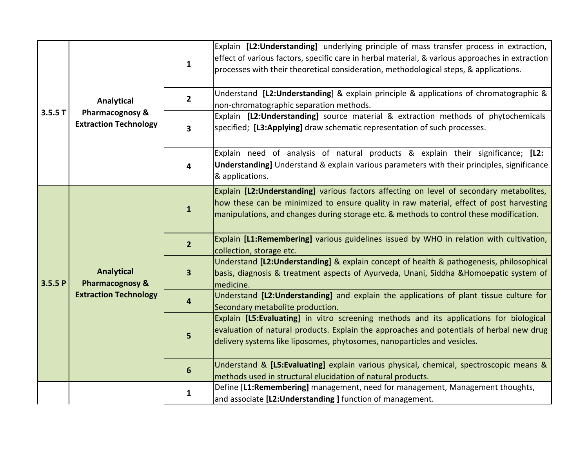|        | Analytical<br>Pharmacognosy &<br><b>Extraction Technology</b>                   | $\mathbf{1}$   | Explain [L2:Understanding] underlying principle of mass transfer process in extraction,<br>effect of various factors, specific care in herbal material, & various approaches in extraction<br>processes with their theoretical consideration, methodological steps, & applications. |
|--------|---------------------------------------------------------------------------------|----------------|-------------------------------------------------------------------------------------------------------------------------------------------------------------------------------------------------------------------------------------------------------------------------------------|
|        |                                                                                 | $\overline{2}$ | Understand [L2:Understanding] & explain principle & applications of chromatographic &<br>non-chromatographic separation methods.                                                                                                                                                    |
| 3.5.5T |                                                                                 | 3              | Explain [L2:Understanding] source material & extraction methods of phytochemicals<br>specified; [L3:Applying] draw schematic representation of such processes.                                                                                                                      |
|        |                                                                                 | 4              | Explain need of analysis of natural products & explain their significance; [L2:<br>Understanding] Understand & explain various parameters with their principles, significance<br>& applications.                                                                                    |
|        | <b>Analytical</b><br><b>Pharmacognosy &amp;</b><br><b>Extraction Technology</b> | $\mathbf{1}$   | Explain [L2: Understanding] various factors affecting on level of secondary metabolites,<br>how these can be minimized to ensure quality in raw material, effect of post harvesting<br>manipulations, and changes during storage etc. & methods to control these modification.      |
|        |                                                                                 | $\overline{2}$ | Explain [L1:Remembering] various guidelines issued by WHO in relation with cultivation,<br>collection, storage etc.                                                                                                                                                                 |
| 3.5.5P |                                                                                 | 3              | Understand [L2:Understanding] & explain concept of health & pathogenesis, philosophical<br>basis, diagnosis & treatment aspects of Ayurveda, Unani, Siddha & Homoepatic system of<br>medicine.                                                                                      |
|        |                                                                                 | 4              | Understand [L2:Understanding] and explain the applications of plant tissue culture for<br>Secondary metabolite production.                                                                                                                                                          |
|        |                                                                                 | 5              | Explain [L5:Evaluating] in vitro screening methods and its applications for biological<br>evaluation of natural products. Explain the approaches and potentials of herbal new drug<br>delivery systems like liposomes, phytosomes, nanoparticles and vesicles.                      |
|        |                                                                                 | 6              | Understand & [L5:Evaluating] explain various physical, chemical, spectroscopic means &<br>methods used in structural elucidation of natural products.                                                                                                                               |
|        |                                                                                 | 1              | Define [L1:Remembering] management, need for management, Management thoughts,<br>and associate [L2: Understanding] function of management.                                                                                                                                          |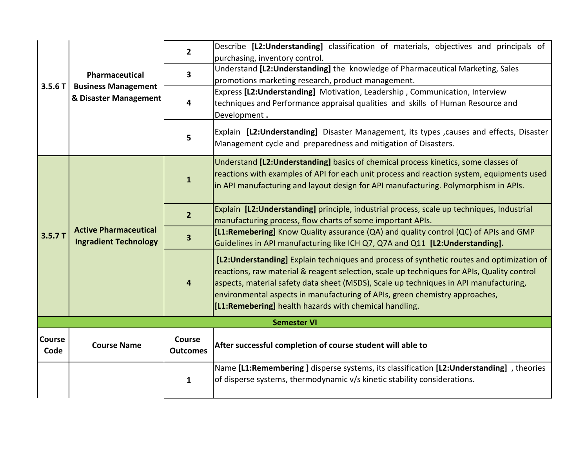| 3.5.6T                | Pharmaceutical<br><b>Business Management</b><br>& Disaster Management | $\overline{2}$            | Describe [L2:Understanding] classification of materials, objectives and principals of<br>purchasing, inventory control.                                                                                                                                                                                                                                                                                                    |
|-----------------------|-----------------------------------------------------------------------|---------------------------|----------------------------------------------------------------------------------------------------------------------------------------------------------------------------------------------------------------------------------------------------------------------------------------------------------------------------------------------------------------------------------------------------------------------------|
|                       |                                                                       | 3                         | Understand [L2: Understanding] the knowledge of Pharmaceutical Marketing, Sales<br>promotions marketing research, product management.                                                                                                                                                                                                                                                                                      |
|                       |                                                                       | 4                         | Express [L2: Understanding] Motivation, Leadership, Communication, Interview<br>techniques and Performance appraisal qualities and skills of Human Resource and<br>Development.                                                                                                                                                                                                                                            |
|                       |                                                                       | 5                         | Explain [L2:Understanding] Disaster Management, its types , causes and effects, Disaster<br>Management cycle and preparedness and mitigation of Disasters.                                                                                                                                                                                                                                                                 |
|                       | <b>Active Pharmaceutical</b><br><b>Ingradient Technology</b>          | $\mathbf{1}$              | Understand [L2: Understanding] basics of chemical process kinetics, some classes of<br>reactions with examples of API for each unit process and reaction system, equipments used<br>in API manufacturing and layout design for API manufacturing. Polymorphism in APIs.                                                                                                                                                    |
|                       |                                                                       | $\overline{2}$            | Explain [L2:Understanding] principle, industrial process, scale up techniques, Industrial<br>manufacturing process, flow charts of some important APIs.                                                                                                                                                                                                                                                                    |
| 3.5.7T                |                                                                       | 3                         | [L1:Remebering] Know Quality assurance (QA) and quality control (QC) of APIs and GMP<br>Guidelines in API manufacturing like ICH Q7, Q7A and Q11 [L2:Understanding].                                                                                                                                                                                                                                                       |
|                       |                                                                       | 4                         | [L2: Understanding] Explain techniques and process of synthetic routes and optimization of<br>reactions, raw material & reagent selection, scale up techniques for APIs, Quality control<br>aspects, material safety data sheet (MSDS), Scale up techniques in API manufacturing,<br>environmental aspects in manufacturing of APIs, green chemistry approaches,<br>[L1:Remebering] health hazards with chemical handling. |
|                       |                                                                       |                           | <b>Semester VI</b>                                                                                                                                                                                                                                                                                                                                                                                                         |
| <b>Course</b><br>Code | <b>Course Name</b>                                                    | Course<br><b>Outcomes</b> | After successful completion of course student will able to                                                                                                                                                                                                                                                                                                                                                                 |
|                       |                                                                       | $\mathbf{1}$              | Name [L1:Remembering ] disperse systems, its classification [L2:Understanding], theories<br>of disperse systems, thermodynamic v/s kinetic stability considerations.                                                                                                                                                                                                                                                       |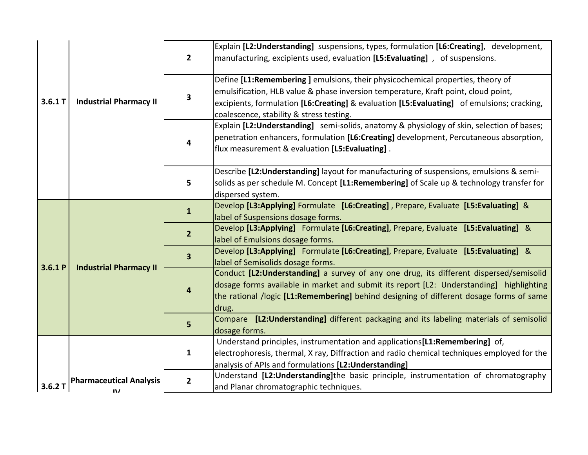|         |                                            | $\overline{2}$          | Explain [L2:Understanding] suspensions, types, formulation [L6:Creating], development,<br>manufacturing, excipients used, evaluation [L5:Evaluating], of suspensions.                                                                                                                                          |
|---------|--------------------------------------------|-------------------------|----------------------------------------------------------------------------------------------------------------------------------------------------------------------------------------------------------------------------------------------------------------------------------------------------------------|
| 3.6.1 T | <b>Industrial Pharmacy II</b>              | 3                       | Define [L1:Remembering] emulsions, their physicochemical properties, theory of<br>emulsification, HLB value & phase inversion temperature, Kraft point, cloud point,<br>excipients, formulation [L6:Creating] & evaluation [L5:Evaluating] of emulsions; cracking,<br>coalescence, stability & stress testing. |
|         |                                            | 4                       | Explain [L2: Understanding] semi-solids, anatomy & physiology of skin, selection of bases;<br>penetration enhancers, formulation [L6:Creating] development, Percutaneous absorption,<br>flux measurement & evaluation [L5:Evaluating].                                                                         |
|         |                                            | 5                       | Describe [L2: Understanding] layout for manufacturing of suspensions, emulsions & semi-<br>solids as per schedule M. Concept [L1:Remembering] of Scale up & technology transfer for<br>dispersed system.                                                                                                       |
| 3.6.1P  | <b>Industrial Pharmacy II</b>              | $\mathbf{1}$            | Develop [L3:Applying] Formulate [L6:Creating], Prepare, Evaluate [L5:Evaluating] &<br>label of Suspensions dosage forms.                                                                                                                                                                                       |
|         |                                            | 2 <sup>2</sup>          | Develop [L3:Applying] Formulate [L6:Creating], Prepare, Evaluate [L5:Evaluating] &<br>label of Emulsions dosage forms.                                                                                                                                                                                         |
|         |                                            | $\overline{\mathbf{3}}$ | Develop [L3:Applying] Formulate [L6:Creating], Prepare, Evaluate [L5:Evaluating] &<br>label of Semisolids dosage forms.                                                                                                                                                                                        |
|         |                                            | 4                       | Conduct [L2:Understanding] a survey of any one drug, its different dispersed/semisolid<br>dosage forms available in market and submit its report [L2: Understanding] highlighting<br>the rational /logic [L1:Remembering] behind designing of different dosage forms of same<br>drug.                          |
|         |                                            | 5                       | Compare [L2: Understanding] different packaging and its labeling materials of semisolid<br>dosage forms.                                                                                                                                                                                                       |
|         |                                            | $\mathbf{1}$            | Understand principles, instrumentation and applications [L1: Remembering] of,<br>electrophoresis, thermal, X ray, Diffraction and radio chemical techniques employed for the<br>analysis of APIs and formulations [L2: Understanding]                                                                          |
| 3.6.2T  | <b>Pharmaceutical Analysis</b><br>$\bf{N}$ | $\overline{2}$          | Understand [L2:Understanding]the basic principle, instrumentation of chromatography<br>and Planar chromatographic techniques.                                                                                                                                                                                  |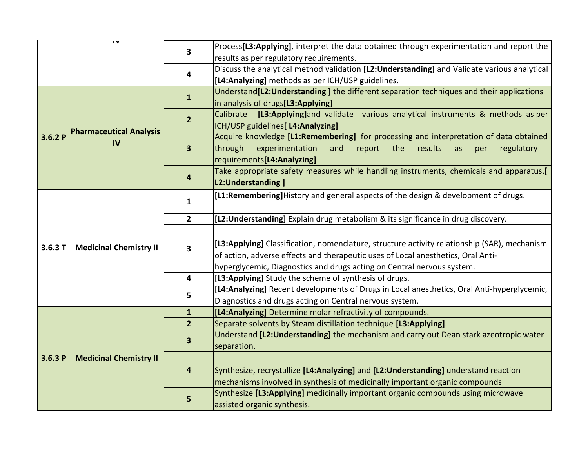|        | $\mathbf{u}$                   | 3                       | Process[L3:Applying], interpret the data obtained through experimentation and report the            |  |  |
|--------|--------------------------------|-------------------------|-----------------------------------------------------------------------------------------------------|--|--|
|        |                                |                         | results as per regulatory requirements.                                                             |  |  |
|        |                                | 4                       | Discuss the analytical method validation [L2:Understanding] and Validate various analytical         |  |  |
|        |                                |                         | [L4: Analyzing] methods as per ICH/USP guidelines.                                                  |  |  |
|        |                                |                         | Understand <sup>[12:Understanding] the different separation techniques and their applications</sup> |  |  |
|        |                                | $\mathbf{1}$            | in analysis of drugs[L3:Applying]                                                                   |  |  |
|        |                                |                         | Calibrate [L3:Applying]and validate various analytical instruments & methods as per                 |  |  |
|        | <b>Pharmaceutical Analysis</b> | $\overline{2}$          | ICH/USP guidelines[ L4:Analyzing]                                                                   |  |  |
| 3.6.2P |                                |                         | Acquire knowledge [L1:Remembering] for processing and interpretation of data obtained               |  |  |
|        | <b>IV</b>                      | $\overline{\mathbf{3}}$ | through<br>experimentation<br>and<br>report<br>the<br>results<br>regulatory<br>as<br>per            |  |  |
|        |                                |                         | requirements[L4:Analyzing]                                                                          |  |  |
|        |                                |                         | Take appropriate safety measures while handling instruments, chemicals and apparatus.[              |  |  |
|        |                                | 4                       | L2:Understanding ]                                                                                  |  |  |
|        |                                |                         | [L1:Remembering]History and general aspects of the design & development of drugs.                   |  |  |
|        | <b>Medicinal Chemistry II</b>  | $\mathbf{1}$            |                                                                                                     |  |  |
|        |                                | $2^{\circ}$             | [L2: Understanding] Explain drug metabolism & its significance in drug discovery.                   |  |  |
|        |                                |                         |                                                                                                     |  |  |
|        |                                |                         | [L3:Applying] Classification, nomenclature, structure activity relationship (SAR), mechanism        |  |  |
| 3.6.3T |                                | 3                       | of action, adverse effects and therapeutic uses of Local anesthetics, Oral Anti-                    |  |  |
|        |                                |                         | hyperglycemic, Diagnostics and drugs acting on Central nervous system.                              |  |  |
|        |                                | 4                       | [L3:Applying] Study the scheme of synthesis of drugs.                                               |  |  |
|        |                                |                         | [L4:Analyzing] Recent developments of Drugs in Local anesthetics, Oral Anti-hyperglycemic,          |  |  |
|        |                                | 5                       | Diagnostics and drugs acting on Central nervous system.                                             |  |  |
|        |                                | $\mathbf{1}$            | [L4: Analyzing] Determine molar refractivity of compounds.                                          |  |  |
|        |                                | 2 <sup>1</sup>          | Separate solvents by Steam distillation technique [L3:Applying].                                    |  |  |
|        |                                |                         | Understand [L2: Understanding] the mechanism and carry out Dean stark azeotropic water              |  |  |
|        |                                | $\overline{\mathbf{3}}$ |                                                                                                     |  |  |
| 3.6.3P |                                |                         | separation.                                                                                         |  |  |
|        | <b>Medicinal Chemistry II</b>  |                         |                                                                                                     |  |  |
|        |                                | $\overline{\mathbf{4}}$ | Synthesize, recrystallize [L4:Analyzing] and [L2:Understanding] understand reaction                 |  |  |
|        |                                |                         | mechanisms involved in synthesis of medicinally important organic compounds                         |  |  |
|        |                                | 5                       | Synthesize [L3:Applying] medicinally important organic compounds using microwave                    |  |  |
|        |                                |                         | assisted organic synthesis.                                                                         |  |  |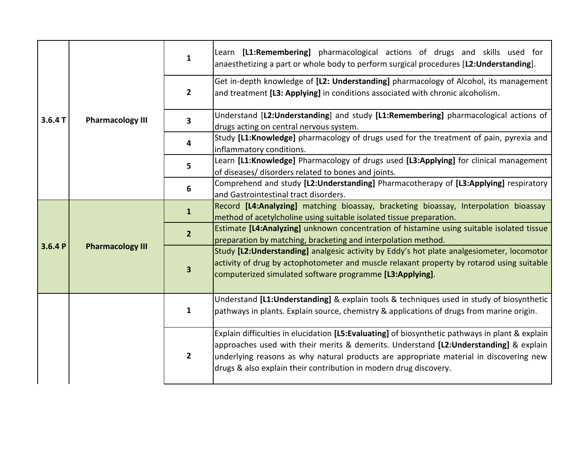|        |                         | $\mathbf{1}$            | Learn [L1:Remembering] pharmacological actions of drugs and skills used for<br>anaesthetizing a part or whole body to perform surgical procedures [L2:Understanding].                                                                                                                                                                                   |
|--------|-------------------------|-------------------------|---------------------------------------------------------------------------------------------------------------------------------------------------------------------------------------------------------------------------------------------------------------------------------------------------------------------------------------------------------|
|        |                         | $\overline{2}$          | Get in-depth knowledge of [L2: Understanding] pharmacology of Alcohol, its management<br>and treatment [L3: Applying] in conditions associated with chronic alcoholism.                                                                                                                                                                                 |
| 3.6.4T | <b>Pharmacology III</b> | 3                       | Understand [L2:Understanding] and study [L1:Remembering] pharmacological actions of<br>drugs acting on central nervous system.                                                                                                                                                                                                                          |
|        |                         | 4                       | Study [L1:Knowledge] pharmacology of drugs used for the treatment of pain, pyrexia and<br>inflammatory conditions.                                                                                                                                                                                                                                      |
|        |                         | 5                       | Learn [L1:Knowledge] Pharmacology of drugs used [L3:Applying] for clinical management<br>of diseases/ disorders related to bones and joints.                                                                                                                                                                                                            |
|        |                         | 6                       | Comprehend and study [L2:Understanding] Pharmacotherapy of [L3:Applying] respiratory<br>and Gastrointestinal tract disorders.                                                                                                                                                                                                                           |
|        | <b>Pharmacology III</b> | $\mathbf{1}$            | Record [L4:Analyzing] matching bioassay, bracketing bioassay, Interpolation bioassay<br>method of acetylcholine using suitable isolated tissue preparation.                                                                                                                                                                                             |
| 3.6.4P |                         | 2 <sup>1</sup>          | Estimate [L4:Analyzing] unknown concentration of histamine using suitable isolated tissue<br>preparation by matching, bracketing and interpolation method.                                                                                                                                                                                              |
|        |                         | $\overline{\mathbf{3}}$ | Study [L2: Understanding] analgesic activity by Eddy's hot plate analgesiometer, locomotor<br>activity of drug by actophotometer and muscle relaxant property by rotarod using suitable<br>computerized simulated software programme [L3:Applying].                                                                                                     |
|        |                         | $\mathbf{1}$            | Understand [L1:Understanding] & explain tools & techniques used in study of biosynthetic<br>pathways in plants. Explain source, chemistry & applications of drugs from marine origin.                                                                                                                                                                   |
|        |                         | $\overline{2}$          | Explain difficulties in elucidation [L5:Evaluating] of biosynthetic pathways in plant & explain<br>approaches used with their merits & demerits. Understand [L2:Understanding] & explain<br>underlying reasons as why natural products are appropriate material in discovering new<br>drugs & also explain their contribution in modern drug discovery. |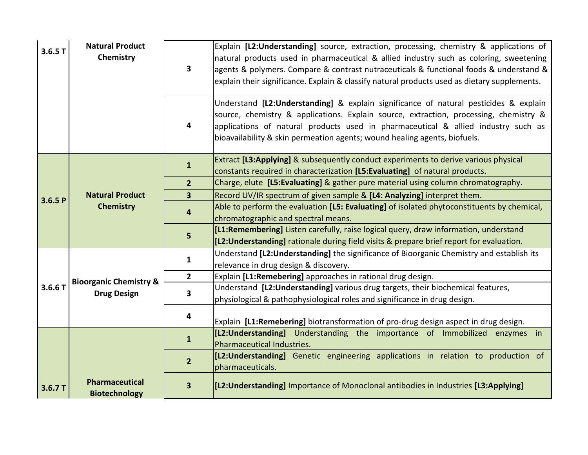| 3.6.5T | <b>Natural Product</b><br>Chemistry                     | 3                       | Explain [L2:Understanding] source, extraction, processing, chemistry & applications of<br>natural products used in pharmaceutical & allied industry such as coloring, sweetening<br>agents & polymers. Compare & contrast nutraceuticals & functional foods & understand &<br>explain their significance. Explain & classify natural products used as dietary supplements. |
|--------|---------------------------------------------------------|-------------------------|----------------------------------------------------------------------------------------------------------------------------------------------------------------------------------------------------------------------------------------------------------------------------------------------------------------------------------------------------------------------------|
|        |                                                         | 4                       | Understand [L2:Understanding] & explain significance of natural pesticides & explain<br>source, chemistry & applications. Explain source, extraction, processing, chemistry &<br>applications of natural products used in pharmaceutical & allied industry such as<br>bioavailability & skin permeation agents; wound healing agents, biofuels.                            |
|        |                                                         | $\mathbf{1}$            | Extract [L3:Applying] & subsequently conduct experiments to derive various physical<br>constants required in characterization [L5:Evaluating] of natural products.                                                                                                                                                                                                         |
|        |                                                         | 2 <sup>2</sup>          | Charge, elute [L5:Evaluating] & gather pure material using column chromatography.                                                                                                                                                                                                                                                                                          |
| 3.6.5P | <b>Natural Product</b>                                  | $\overline{\mathbf{3}}$ | Record UV/IR spectrum of given sample & [L4: Analyzing] interpret them.                                                                                                                                                                                                                                                                                                    |
|        | <b>Chemistry</b>                                        | 4                       | Able to perform the evaluation [L5: Evaluating] of isolated phytoconstituents by chemical,<br>chromatographic and spectral means.                                                                                                                                                                                                                                          |
|        |                                                         | 5                       | [L1:Remembering] Listen carefully, raise logical query, draw information, understand<br>[L2: Understanding] rationale during field visits & prepare brief report for evaluation.                                                                                                                                                                                           |
|        |                                                         | $\mathbf{1}$            | Understand [L2: Understanding] the significance of Bioorganic Chemistry and establish its<br>relevance in drug design & discovery.                                                                                                                                                                                                                                         |
|        | <b>Bioorganic Chemistry &amp;</b><br><b>Drug Design</b> | $\overline{2}$          | Explain [L1:Remebering] approaches in rational drug design.                                                                                                                                                                                                                                                                                                                |
| 3.6.6T |                                                         | 3                       | Understand [L2: Understanding] various drug targets, their biochemical features,<br>physiological & pathophysiological roles and significance in drug design.                                                                                                                                                                                                              |
|        |                                                         | 4                       | Explain [L1:Remebering] biotransformation of pro-drug design aspect in drug design.                                                                                                                                                                                                                                                                                        |
|        |                                                         | $\mathbf{1}$            | [L2:Understanding] Understanding the importance of Immobilized enzymes in<br>Pharmaceutical Industries.                                                                                                                                                                                                                                                                    |
|        |                                                         | $\overline{2}$          | [L2:Understanding] Genetic engineering applications in relation to production of<br>pharmaceuticals.                                                                                                                                                                                                                                                                       |
| 3.6.7T | <b>Pharmaceutical</b><br><b>Biotechnology</b>           | $\overline{\mathbf{3}}$ | [L2: Understanding] Importance of Monoclonal antibodies in Industries [L3: Applying]                                                                                                                                                                                                                                                                                       |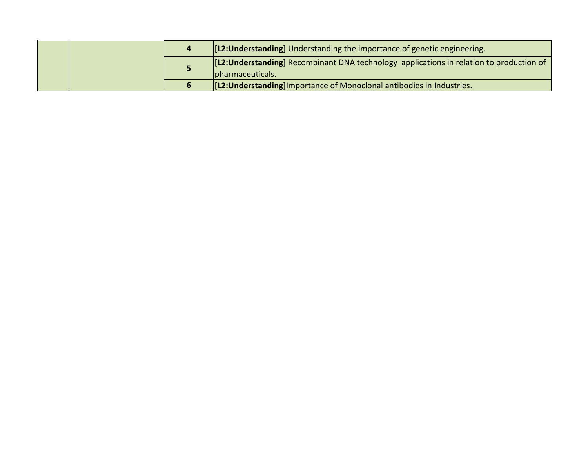|  | [[L2: Understanding] Understanding the importance of genetic engineering.                                     |
|--|---------------------------------------------------------------------------------------------------------------|
|  | [[L2: Understanding] Recombinant DNA technology applications in relation to production of<br>pharmaceuticals. |
|  | <b>[L2: Understanding</b> ] Importance of Monoclonal antibodies in Industries.                                |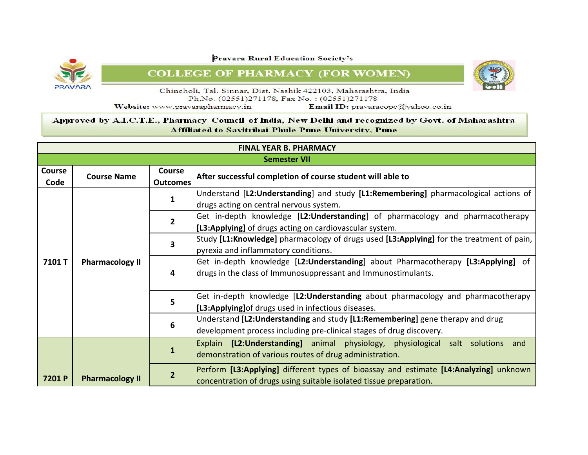![](_page_26_Picture_1.jpeg)

**COLLEGE OF PHARMACY (FOR WOMEN)** 

![](_page_26_Picture_3.jpeg)

Chincholi, Tal. Sinnar, Dist. Nashik 422103, Maharashtra, India Ph.No. (02551)271178, Fax No.: (02551)271178

Website: www.pravarapharmacy.in

Email ID: pravaracopc@yahoo.co.in

|                | <b>FINAL YEAR B. PHARMACY</b> |                           |                                                                                                                                                             |  |
|----------------|-------------------------------|---------------------------|-------------------------------------------------------------------------------------------------------------------------------------------------------------|--|
|                | <b>Semester VII</b>           |                           |                                                                                                                                                             |  |
| Course<br>Code | <b>Course Name</b>            | Course<br><b>Outcomes</b> | After successful completion of course student will able to                                                                                                  |  |
|                |                               | 1                         | Understand [L2:Understanding] and study [L1:Remembering] pharmacological actions of<br>drugs acting on central nervous system.                              |  |
|                |                               | $\mathbf{z}$              | Get in-depth knowledge [L2:Understanding] of pharmacology and pharmacotherapy<br>[L3:Applying] of drugs acting on cardiovascular system.                    |  |
| 7101T          | <b>Pharmacology II</b>        | 3                         | Study [L1:Knowledge] pharmacology of drugs used [L3:Applying] for the treatment of pain,<br>pyrexia and inflammatory conditions.                            |  |
|                |                               | 4                         | Get in-depth knowledge [L2:Understanding] about Pharmacotherapy [L3:Applying] of<br>drugs in the class of Immunosuppressant and Immunostimulants.           |  |
|                |                               | 5                         | Get in-depth knowledge [L2:Understanding about pharmacology and pharmacotherapy<br>[L3:Applying] of drugs used in infectious diseases.                      |  |
|                |                               | 6                         | Understand [L2: Understanding and study [L1: Remembering] gene therapy and drug<br>development process including pre-clinical stages of drug discovery.     |  |
|                |                               | 1                         | Explain [L2:Understanding] animal physiology, physiological salt solutions and<br>demonstration of various routes of drug administration.                   |  |
| 7201 P         | <b>Pharmacology II</b>        | $\overline{2}$            | Perform [L3:Applying] different types of bioassay and estimate [L4:Analyzing] unknown<br>concentration of drugs using suitable isolated tissue preparation. |  |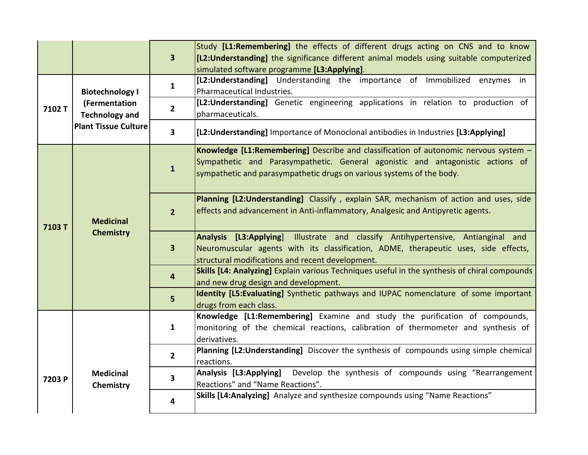|        |                                                                                                 | $\overline{\mathbf{3}}$ | Study [L1:Remembering] the effects of different drugs acting on CNS and to know<br>[L2:Understanding] the significance different animal models using suitable computerized                                                                      |
|--------|-------------------------------------------------------------------------------------------------|-------------------------|-------------------------------------------------------------------------------------------------------------------------------------------------------------------------------------------------------------------------------------------------|
|        |                                                                                                 |                         | simulated software programme [L3:Applying].                                                                                                                                                                                                     |
|        | <b>Biotechnology I</b><br>(Fermentation<br><b>Technology and</b><br><b>Plant Tissue Culture</b> | $\mathbf{1}$            | [L2:Understanding] Understanding the importance of Immobilized enzymes in<br>Pharmaceutical Industries.                                                                                                                                         |
| 7102T  |                                                                                                 | $\overline{2}$          | [L2:Understanding] Genetic engineering applications in relation to production of<br>pharmaceuticals.                                                                                                                                            |
|        |                                                                                                 | $\mathbf{3}$            | [L2: Understanding] Importance of Monoclonal antibodies in Industries [L3: Applying]                                                                                                                                                            |
| 7103T  |                                                                                                 | $\mathbf{1}$            | Knowledge [L1:Remembering] Describe and classification of autonomic nervous system -<br>Sympathetic and Parasympathetic. General agonistic and antagonistic actions of<br>sympathetic and parasympathetic drugs on various systems of the body. |
|        | <b>Medicinal</b><br><b>Chemistry</b>                                                            | $\overline{2}$          | Planning [L2: Understanding] Classify, explain SAR, mechanism of action and uses, side<br>effects and advancement in Anti-inflammatory, Analgesic and Antipyretic agents.                                                                       |
|        |                                                                                                 | $\mathbf{3}$            | Analysis [L3:Applying] Illustrate and classify Antihypertensive, Antianginal and<br>Neuromuscular agents with its classification, ADME, therapeutic uses, side effects,<br>structural modifications and recent development.                     |
|        |                                                                                                 | $\overline{\mathbf{4}}$ | Skills [L4: Analyzing] Explain various Techniques useful in the synthesis of chiral compounds<br>and new drug design and development.                                                                                                           |
|        |                                                                                                 | 5                       | Identity [L5:Evaluating] Synthetic pathways and IUPAC nomenclature of some important<br>drugs from each class.                                                                                                                                  |
|        |                                                                                                 | $\mathbf{1}$            | Knowledge [L1:Remembering] Examine and study the purification of compounds,<br>monitoring of the chemical reactions, calibration of thermometer and synthesis of<br>derivatives.                                                                |
|        | <b>Medicinal</b><br>Chemistry                                                                   | $\overline{2}$          | Planning [L2:Understanding] Discover the synthesis of compounds using simple chemical<br>reactions.                                                                                                                                             |
| 7203 P |                                                                                                 | $\overline{\mathbf{3}}$ | Analysis [L3:Applying] Develop the synthesis of compounds using "Rearrangement<br>Reactions" and "Name Reactions".                                                                                                                              |
|        |                                                                                                 | 4                       | Skills [L4: Analyzing] Analyze and synthesize compounds using "Name Reactions"                                                                                                                                                                  |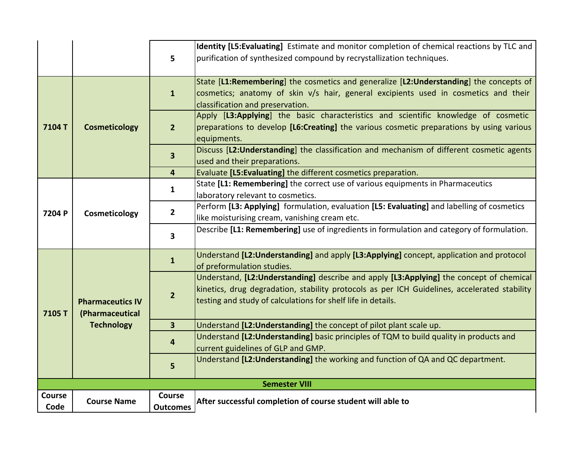|                |                                                                 | $5\phantom{a}$            | Identity [L5:Evaluating] Estimate and monitor completion of chemical reactions by TLC and<br>purification of synthesized compound by recrystallization techniques.                                                                                      |
|----------------|-----------------------------------------------------------------|---------------------------|---------------------------------------------------------------------------------------------------------------------------------------------------------------------------------------------------------------------------------------------------------|
|                |                                                                 | $\mathbf{1}$              | State [L1:Remembering] the cosmetics and generalize [L2:Understanding] the concepts of<br>cosmetics; anatomy of skin v/s hair, general excipients used in cosmetics and their<br>classification and preservation.                                       |
| 7104T          | <b>Cosmeticology</b>                                            | $\overline{2}$            | Apply [L3:Applying] the basic characteristics and scientific knowledge of cosmetic<br>preparations to develop [L6:Creating] the various cosmetic preparations by using various<br>equipments.                                                           |
|                |                                                                 | 3                         | Discuss [L2: Understanding] the classification and mechanism of different cosmetic agents<br>used and their preparations.                                                                                                                               |
|                |                                                                 | $\overline{4}$            | Evaluate [L5:Evaluating] the different cosmetics preparation.                                                                                                                                                                                           |
|                |                                                                 | $\mathbf{1}$              | State [L1: Remembering] the correct use of various equipments in Pharmaceutics<br>laboratory relevant to cosmetics.                                                                                                                                     |
| 7204 P         | Cosmeticology                                                   | $\overline{2}$            | Perform [L3: Applying] formulation, evaluation [L5: Evaluating] and labelling of cosmetics<br>like moisturising cream, vanishing cream etc.                                                                                                             |
| 7105T          | <b>Pharmaceutics IV</b><br>(Pharmaceutical<br><b>Technology</b> | $\overline{\mathbf{3}}$   | Describe [L1: Remembering] use of ingredients in formulation and category of formulation.                                                                                                                                                               |
|                |                                                                 | $\mathbf{1}$              | Understand [L2: Understanding] and apply [L3: Applying] concept, application and protocol<br>of preformulation studies.                                                                                                                                 |
|                |                                                                 | $\overline{2}$            | Understand, [L2:Understanding] describe and apply [L3:Applying] the concept of chemical<br>kinetics, drug degradation, stability protocols as per ICH Guidelines, accelerated stability<br>testing and study of calculations for shelf life in details. |
|                |                                                                 | $\overline{\mathbf{3}}$   | Understand [L2: Understanding] the concept of pilot plant scale up.                                                                                                                                                                                     |
|                |                                                                 | 4                         | Understand [L2: Understanding] basic principles of TQM to build quality in products and<br>current guidelines of GLP and GMP.                                                                                                                           |
|                |                                                                 | $5\phantom{.}$            | Understand [L2: Understanding] the working and function of QA and QC department.                                                                                                                                                                        |
|                |                                                                 |                           | <b>Semester VIII</b>                                                                                                                                                                                                                                    |
| Course<br>Code | <b>Course Name</b>                                              | Course<br><b>Outcomes</b> | After successful completion of course student will able to                                                                                                                                                                                              |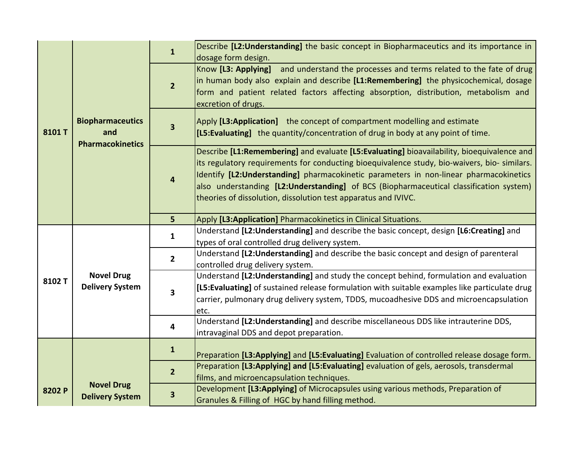|        |                                             | $\mathbf{1}$                              | Describe [L2:Understanding] the basic concept in Biopharmaceutics and its importance in                                                  |
|--------|---------------------------------------------|-------------------------------------------|------------------------------------------------------------------------------------------------------------------------------------------|
|        |                                             |                                           | dosage form design.                                                                                                                      |
|        |                                             |                                           | Know [L3: Applying] and understand the processes and terms related to the fate of drug                                                   |
|        |                                             | $\overline{2}$                            | in human body also explain and describe [L1:Remembering] the physicochemical, dosage                                                     |
|        |                                             |                                           | form and patient related factors affecting absorption, distribution, metabolism and                                                      |
|        |                                             |                                           | excretion of drugs.                                                                                                                      |
|        | <b>Biopharmaceutics</b>                     |                                           | Apply [L3:Application] the concept of compartment modelling and estimate                                                                 |
| 8101T  | and                                         | $\overline{\mathbf{3}}$                   | [L5: Evaluating] the quantity/concentration of drug in body at any point of time.                                                        |
|        | <b>Pharmacokinetics</b>                     |                                           |                                                                                                                                          |
|        |                                             |                                           | Describe [L1:Remembering] and evaluate [L5:Evaluating] bioavailability, bioequivalence and                                               |
|        |                                             |                                           | its regulatory requirements for conducting bioequivalence study, bio-waivers, bio- similars.                                             |
|        |                                             | $\overline{\mathbf{4}}$                   | Identify [L2: Understanding] pharmacokinetic parameters in non-linear pharmacokinetics                                                   |
|        |                                             |                                           | also understanding [L2:Understanding] of BCS (Biopharmaceutical classification system)                                                   |
|        |                                             |                                           | theories of dissolution, dissolution test apparatus and IVIVC.                                                                           |
|        |                                             |                                           |                                                                                                                                          |
|        |                                             | 5 <sub>1</sub>                            | Apply [L3:Application] Pharmacokinetics in Clinical Situations.                                                                          |
|        |                                             | $\mathbf{1}$                              | Understand [L2: Understanding] and describe the basic concept, design [L6: Creating] and                                                 |
|        | <b>Novel Drug</b><br><b>Delivery System</b> | $\overline{2}$<br>$\overline{\mathbf{3}}$ | types of oral controlled drug delivery system.<br>Understand [L2: Understanding] and describe the basic concept and design of parenteral |
|        |                                             |                                           | controlled drug delivery system.                                                                                                         |
|        |                                             |                                           | Understand [L2: Understanding] and study the concept behind, formulation and evaluation                                                  |
| 8102 T |                                             |                                           | [L5: Evaluating] of sustained release formulation with suitable examples like particulate drug                                           |
|        |                                             |                                           | carrier, pulmonary drug delivery system, TDDS, mucoadhesive DDS and microencapsulation                                                   |
|        |                                             |                                           | etc.                                                                                                                                     |
|        |                                             |                                           |                                                                                                                                          |
|        |                                             |                                           |                                                                                                                                          |
|        |                                             | 4                                         | Understand [L2: Understanding] and describe miscellaneous DDS like intrauterine DDS,                                                     |
|        |                                             |                                           | intravaginal DDS and depot preparation.                                                                                                  |
|        |                                             | $\mathbf{1}$                              |                                                                                                                                          |
|        |                                             |                                           | Preparation [L3:Applying] and [L5:Evaluating] Evaluation of controlled release dosage form.                                              |
|        |                                             | $\overline{2}$                            | Preparation [L3:Applying] and [L5:Evaluating] evaluation of gels, aerosols, transdermal                                                  |
|        | <b>Novel Drug</b>                           |                                           | films, and microencapsulation techniques.<br>Development [L3:Applying] of Microcapsules using various methods, Preparation of            |
| 8202 P | <b>Delivery System</b>                      | $\overline{\mathbf{3}}$                   | Granules & Filling of HGC by hand filling method.                                                                                        |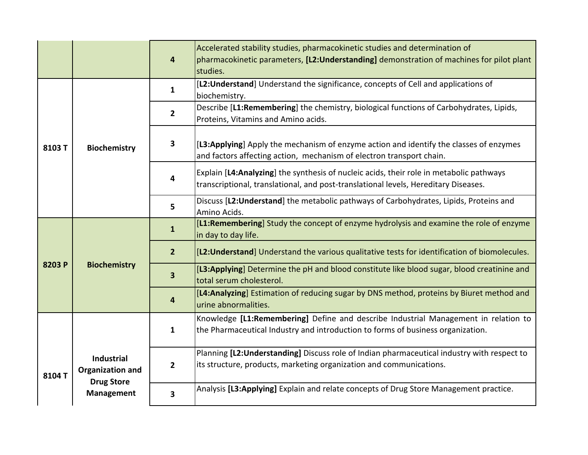|        |                                              | 4                       | Accelerated stability studies, pharmacokinetic studies and determination of<br>pharmacokinetic parameters, [L2:Understanding] demonstration of machines for pilot plant<br>studies. |
|--------|----------------------------------------------|-------------------------|-------------------------------------------------------------------------------------------------------------------------------------------------------------------------------------|
|        | <b>Biochemistry</b>                          | $\mathbf{1}$            | [L2: Understand] Understand the significance, concepts of Cell and applications of<br>biochemistry.                                                                                 |
|        |                                              | $\mathbf{2}$            | Describe [L1:Remembering] the chemistry, biological functions of Carbohydrates, Lipids,<br>Proteins, Vitamins and Amino acids.                                                      |
| 8103T  |                                              | $\mathbf{3}$            | [L3:Applying] Apply the mechanism of enzyme action and identify the classes of enzymes<br>and factors affecting action, mechanism of electron transport chain.                      |
|        |                                              | 4                       | Explain [L4:Analyzing] the synthesis of nucleic acids, their role in metabolic pathways<br>transcriptional, translational, and post-translational levels, Hereditary Diseases.      |
|        |                                              | 5                       | Discuss [L2: Understand] the metabolic pathways of Carbohydrates, Lipids, Proteins and<br>Amino Acids.                                                                              |
|        | <b>Biochemistry</b>                          | $\mathbf{1}$            | [L1:Remembering] Study the concept of enzyme hydrolysis and examine the role of enzyme<br>in day to day life.                                                                       |
| 8203 P |                                              | 2 <sup>1</sup>          | [L2:Understand] Understand the various qualitative tests for identification of biomolecules.                                                                                        |
|        |                                              | $\overline{\mathbf{3}}$ | [L3:Applying] Determine the pH and blood constitute like blood sugar, blood creatinine and<br>total serum cholesterol.                                                              |
|        |                                              | 4                       | [L4:Analyzing] Estimation of reducing sugar by DNS method, proteins by Biuret method and<br>urine abnormalities.                                                                    |
|        |                                              | $\mathbf{1}$            | Knowledge [L1:Remembering] Define and describe Industrial Management in relation to<br>the Pharmaceutical Industry and introduction to forms of business organization.              |
| 8104T  | <b>Industrial</b><br><b>Organization and</b> | $\overline{2}$          | Planning [L2:Understanding] Discuss role of Indian pharmaceutical industry with respect to<br>its structure, products, marketing organization and communications.                   |
|        | <b>Drug Store</b><br><b>Management</b>       |                         | Analysis [L3:Applying] Explain and relate concepts of Drug Store Management practice.                                                                                               |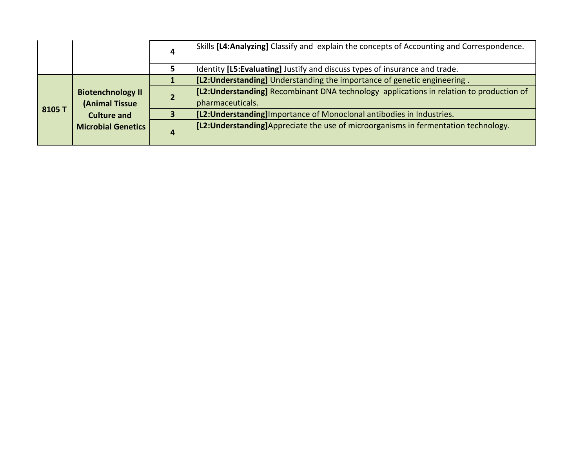|        |                                                                                               |   | Skills [L4: Analyzing] Classify and explain the concepts of Accounting and Correspondence.                   |
|--------|-----------------------------------------------------------------------------------------------|---|--------------------------------------------------------------------------------------------------------------|
|        |                                                                                               |   | Identity [L5:Evaluating] Justify and discuss types of insurance and trade.                                   |
|        |                                                                                               |   | [[L2: Understanding] Understanding the importance of genetic engineering.                                    |
| 8105 T | <b>Biotenchnology II</b><br>(Animal Tissue<br><b>Culture and</b><br><b>Microbial Genetics</b> |   | [[L2:Understanding] Recombinant DNA technology applications in relation to production of<br>pharmaceuticals. |
|        |                                                                                               |   | [[L2: Understanding] Importance of Monoclonal antibodies in Industries.                                      |
|        |                                                                                               | 4 | [[L2: Understanding] Appreciate the use of microorganisms in fermentation technology.                        |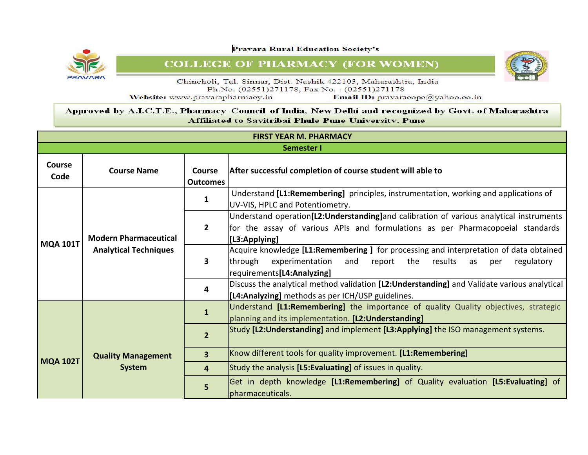![](_page_32_Picture_1.jpeg)

**COLLEGE OF PHARMACY (FOR WOMEN)** 

![](_page_32_Picture_3.jpeg)

Chincholi, Tal. Sinnar, Dist. Nashik 422103, Maharashtra, India Ph.No. (02551)271178, Fax No.: (02551)271178

Website: www.pravarapharmacy.in

Email ID: pravaracopc@yahoo.co.in

| <b>FIRST YEAR M. PHARMACY</b> |                                                              |                                  |                                                                                                                                                                                                                  |  |  |
|-------------------------------|--------------------------------------------------------------|----------------------------------|------------------------------------------------------------------------------------------------------------------------------------------------------------------------------------------------------------------|--|--|
| <b>Semester I</b>             |                                                              |                                  |                                                                                                                                                                                                                  |  |  |
| <b>Course</b><br>Code         | <b>Course Name</b>                                           | <b>Course</b><br><b>Outcomes</b> | After successful completion of course student will able to                                                                                                                                                       |  |  |
|                               |                                                              | 1                                | Understand [L1:Remembering] principles, instrumentation, working and applications of<br>UV-VIS, HPLC and Potentiometry.                                                                                          |  |  |
|                               | <b>Modern Pharmaceutical</b><br><b>Analytical Techniques</b> | $\overline{2}$                   | Understand operation[L2:Understanding]and calibration of various analytical instruments<br>for the assay of various APIs and formulations as per Pharmacopoeial standards<br>[L3:Applying]                       |  |  |
| <b>MQA 101T</b>               |                                                              | 3                                | Acquire knowledge [L1:Remembering ] for processing and interpretation of data obtained<br>through<br>experimentation<br>the<br>results<br>and<br>report<br>regulatory<br>as<br>per<br>requirements[L4:Analyzing] |  |  |
|                               |                                                              | 4                                | Discuss the analytical method validation [L2:Understanding] and Validate various analytical<br>[L4:Analyzing] methods as per ICH/USP guidelines.                                                                 |  |  |
|                               |                                                              | 1                                | Understand [L1:Remembering] the importance of quality Quality objectives, strategic<br>planning and its implementation. [L2: Understanding]                                                                      |  |  |
|                               |                                                              | 2 <sup>2</sup>                   | Study [L2:Understanding] and implement [L3:Applying] the ISO management systems.                                                                                                                                 |  |  |
|                               | <b>Quality Management</b>                                    | $\overline{\mathbf{3}}$          | Know different tools for quality improvement. [L1:Remembering]                                                                                                                                                   |  |  |
| <b>MQA 102T</b>               | <b>System</b>                                                | $\overline{4}$                   | Study the analysis [L5:Evaluating] of issues in quality.                                                                                                                                                         |  |  |
|                               |                                                              |                                  | Get in depth knowledge [L1:Remembering] of Quality evaluation [L5:Evaluating] of<br>pharmaceuticals.                                                                                                             |  |  |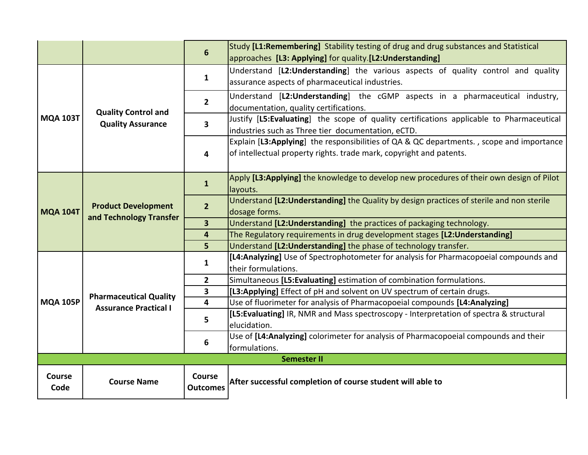|                       |                                                                                                                                                                                  | $6\phantom{1}$            | Study [L1:Remembering] Stability testing of drug and drug substances and Statistical<br>approaches [L3: Applying] for quality.[L2:Understanding]                |  |  |  |
|-----------------------|----------------------------------------------------------------------------------------------------------------------------------------------------------------------------------|---------------------------|-----------------------------------------------------------------------------------------------------------------------------------------------------------------|--|--|--|
|                       |                                                                                                                                                                                  | $\mathbf{1}$              | Understand [L2:Understanding] the various aspects of quality control and quality<br>assurance aspects of pharmaceutical industries.                             |  |  |  |
|                       | <b>Quality Control and</b><br><b>Quality Assurance</b><br><b>Product Development</b><br>and Technology Transfer<br><b>Pharmaceutical Quality</b><br><b>Assurance Practical I</b> | $\mathbf{2}$              | Understand [L2:Understanding] the cGMP aspects in a pharmaceutical industry,<br>documentation, quality certifications.                                          |  |  |  |
| <b>MQA 103T</b>       |                                                                                                                                                                                  | $\overline{\mathbf{3}}$   | Justify [L5:Evaluating] the scope of quality certifications applicable to Pharmaceutical<br>industries such as Three tier documentation, eCTD.                  |  |  |  |
|                       |                                                                                                                                                                                  | $\overline{\mathbf{4}}$   | Explain [L3:Applying] the responsibilities of QA & QC departments., scope and importance<br>of intellectual property rights. trade mark, copyright and patents. |  |  |  |
|                       |                                                                                                                                                                                  | $\mathbf{1}$              | Apply [L3:Applying] the knowledge to develop new procedures of their own design of Pilot<br>layouts.                                                            |  |  |  |
| <b>MQA 104T</b>       |                                                                                                                                                                                  | $2^{1}$                   | Understand [L2: Understanding] the Quality by design practices of sterile and non sterile<br>dosage forms.                                                      |  |  |  |
|                       |                                                                                                                                                                                  | $\overline{\mathbf{3}}$   | Understand [L2: Understanding] the practices of packaging technology.                                                                                           |  |  |  |
|                       |                                                                                                                                                                                  | 4                         | The Regulatory requirements in drug development stages [L2: Understanding]                                                                                      |  |  |  |
|                       |                                                                                                                                                                                  | 5                         | Understand [L2: Understanding] the phase of technology transfer.                                                                                                |  |  |  |
|                       |                                                                                                                                                                                  | $\mathbf{1}$              | [L4:Analyzing] Use of Spectrophotometer for analysis for Pharmacopoeial compounds and<br>their formulations.                                                    |  |  |  |
|                       |                                                                                                                                                                                  | $\overline{2}$            | Simultaneous [L5:Evaluating] estimation of combination formulations.                                                                                            |  |  |  |
|                       |                                                                                                                                                                                  | 3                         | [L3:Applying] Effect of pH and solvent on UV spectrum of certain drugs.                                                                                         |  |  |  |
| <b>MQA 105P</b>       |                                                                                                                                                                                  | 4                         | Use of fluorimeter for analysis of Pharmacopoeial compounds [L4:Analyzing]                                                                                      |  |  |  |
|                       |                                                                                                                                                                                  | 5                         | [L5: Evaluating] IR, NMR and Mass spectroscopy - Interpretation of spectra & structural<br>elucidation.                                                         |  |  |  |
|                       |                                                                                                                                                                                  | 6                         | Use of [L4:Analyzing] colorimeter for analysis of Pharmacopoeial compounds and their<br>formulations.                                                           |  |  |  |
|                       | <b>Semester II</b>                                                                                                                                                               |                           |                                                                                                                                                                 |  |  |  |
| <b>Course</b><br>Code | <b>Course Name</b>                                                                                                                                                               | Course<br><b>Outcomes</b> | After successful completion of course student will able to                                                                                                      |  |  |  |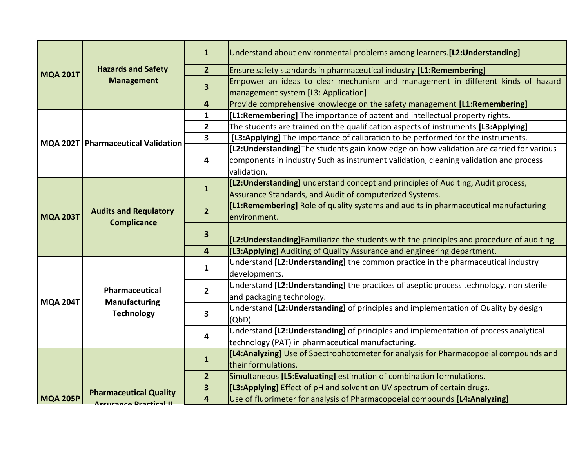|                 |                                                    | $\mathbf{1}$                                       | Understand about environmental problems among learners. [L2: Understanding]                                                                           |
|-----------------|----------------------------------------------------|----------------------------------------------------|-------------------------------------------------------------------------------------------------------------------------------------------------------|
| <b>MQA 201T</b> | <b>Hazards and Safety</b>                          | 2 <sup>1</sup>                                     | Ensure safety standards in pharmaceutical industry [L1:Remembering]                                                                                   |
|                 | <b>Management</b>                                  | $\overline{\mathbf{3}}$                            | Empower an ideas to clear mechanism and management in different kinds of hazard                                                                       |
|                 |                                                    |                                                    | management system [L3: Application]                                                                                                                   |
|                 |                                                    | 4                                                  | Provide comprehensive knowledge on the safety management [L1:Remembering]                                                                             |
|                 |                                                    | $\mathbf{1}$                                       | [L1:Remembering] The importance of patent and intellectual property rights.                                                                           |
|                 |                                                    | $\mathbf{2}$                                       | The students are trained on the qualification aspects of instruments [L3:Applying]                                                                    |
|                 | MQA 202T   Pharmaceutical Validation               | 3                                                  | [L3:Applying] The importance of calibration to be performed for the instruments.                                                                      |
|                 |                                                    |                                                    | [L2: Understanding] The students gain knowledge on how validation are carried for various                                                             |
|                 |                                                    | 4                                                  | components in industry Such as instrument validation, cleaning validation and process                                                                 |
|                 |                                                    |                                                    | validation.                                                                                                                                           |
|                 |                                                    | $\mathbf{1}$                                       | [L2: Understanding] understand concept and principles of Auditing, Audit process,                                                                     |
|                 | <b>Audits and Requlatory</b><br><b>Complicance</b> |                                                    | Assurance Standards, and Audit of computerized Systems.                                                                                               |
|                 |                                                    | $\overline{2}$                                     | [L1:Remembering] Role of quality systems and audits in pharmaceutical manufacturing                                                                   |
| <b>MQA 203T</b> |                                                    |                                                    | environment.                                                                                                                                          |
|                 |                                                    |                                                    |                                                                                                                                                       |
|                 |                                                    | $\overline{\mathbf{3}}$                            | [L2: Understanding] Familiarize the students with the principles and procedure of auditing.                                                           |
|                 |                                                    | $\overline{4}$                                     | [L3:Applying] Auditing of Quality Assurance and engineering department.                                                                               |
|                 |                                                    | $\mathbf{1}$                                       | Understand [L2: Understanding] the common practice in the pharmaceutical industry<br>developments.                                                    |
|                 | Pharmaceutical                                     | $2^{\circ}$                                        | Understand [L2: Understanding] the practices of aseptic process technology, non sterile<br>and packaging technology.                                  |
| <b>MQA 204T</b> | <b>Manufacturing</b><br><b>Technology</b>          | 3                                                  | Understand [L2: Understanding] of principles and implementation of Quality by design<br>$(QbD)$ .                                                     |
|                 |                                                    |                                                    | Understand [L2: Understanding] of principles and implementation of process analytical                                                                 |
|                 |                                                    | 4                                                  | technology (PAT) in pharmaceutical manufacturing.                                                                                                     |
|                 |                                                    |                                                    | [L4:Analyzing] Use of Spectrophotometer for analysis for Pharmacopoeial compounds and                                                                 |
|                 |                                                    | $\mathbf{1}$                                       | their formulations.                                                                                                                                   |
|                 |                                                    | 2 <sup>2</sup>                                     | Simultaneous [L5:Evaluating] estimation of combination formulations.                                                                                  |
| <b>MQA 205P</b> | <b>Pharmaceutical Quality</b>                      | $\overline{\mathbf{3}}$<br>$\overline{\mathbf{4}}$ | [L3:Applying] Effect of pH and solvent on UV spectrum of certain drugs.<br>Use of fluorimeter for analysis of Pharmacopoeial compounds [L4:Analyzing] |